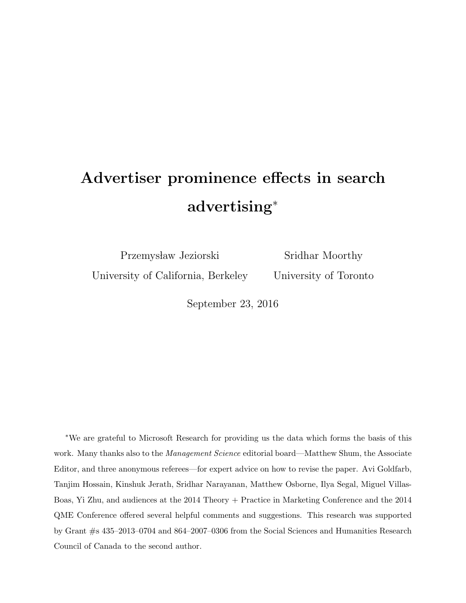# Advertiser prominence effects in search advertising<sup>∗</sup>

Przemysław Jeziorski

Sridhar Moorthy University of Toronto

University of California, Berkeley

September 23, 2016

<sup>∗</sup>We are grateful to Microsoft Research for providing us the data which forms the basis of this work. Many thanks also to the *Management Science* editorial board—Matthew Shum, the Associate Editor, and three anonymous referees—for expert advice on how to revise the paper. Avi Goldfarb, Tanjim Hossain, Kinshuk Jerath, Sridhar Narayanan, Matthew Osborne, Ilya Segal, Miguel Villas-Boas, Yi Zhu, and audiences at the 2014 Theory + Practice in Marketing Conference and the 2014 QME Conference offered several helpful comments and suggestions. This research was supported by Grant #s 435–2013–0704 and 864–2007–0306 from the Social Sciences and Humanities Research Council of Canada to the second author.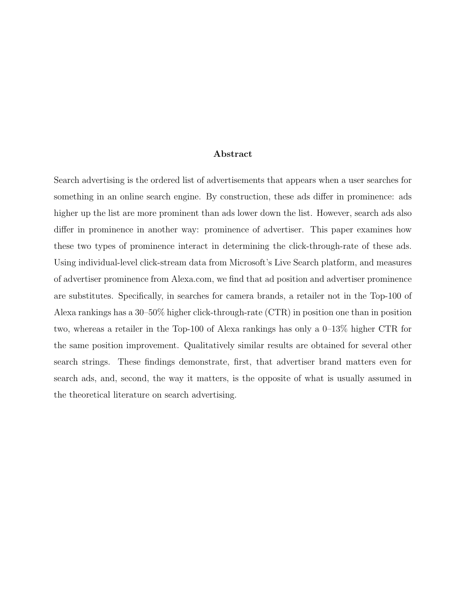#### Abstract

Search advertising is the ordered list of advertisements that appears when a user searches for something in an online search engine. By construction, these ads differ in prominence: ads higher up the list are more prominent than ads lower down the list. However, search ads also differ in prominence in another way: prominence of advertiser. This paper examines how these two types of prominence interact in determining the click-through-rate of these ads. Using individual-level click-stream data from Microsoft's Live Search platform, and measures of advertiser prominence from Alexa.com, we find that ad position and advertiser prominence are substitutes. Specifically, in searches for camera brands, a retailer not in the Top-100 of Alexa rankings has a 30–50% higher click-through-rate (CTR) in position one than in position two, whereas a retailer in the Top-100 of Alexa rankings has only a 0–13% higher CTR for the same position improvement. Qualitatively similar results are obtained for several other search strings. These findings demonstrate, first, that advertiser brand matters even for search ads, and, second, the way it matters, is the opposite of what is usually assumed in the theoretical literature on search advertising.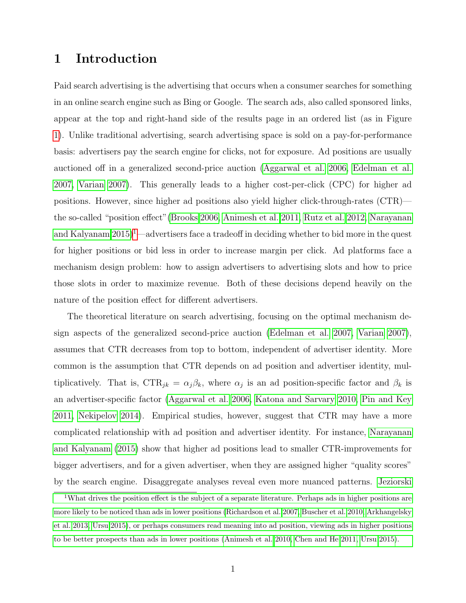### 1 Introduction

Paid search advertising is the advertising that occurs when a consumer searches for something in an online search engine such as Bing or Google. The search ads, also called sponsored links, appear at the top and right-hand side of the results page in an ordered list (as in Figure [1\)](#page-3-0). Unlike traditional advertising, search advertising space is sold on a pay-for-performance basis: advertisers pay the search engine for clicks, not for exposure. Ad positions are usually auctioned off in a generalized second-price auction [\(Aggarwal et al. 2006,](#page-36-0) [Edelman et al.](#page-37-0) [2007,](#page-37-0) [Varian 2007\)](#page-39-0). This generally leads to a higher cost-per-click (CPC) for higher ad positions. However, since higher ad positions also yield higher click-through-rates (CTR) the so-called "position effect"[\(Brooks 2006,](#page-36-1) [Animesh et al. 2011,](#page-36-2) [Rutz et al. 2012,](#page-39-1) [Narayanan](#page-38-0) and Kalyanam  $2015$  $2015$  $2015$ <sup>1</sup>—advertisers face a tradeoff in deciding whether to bid more in the quest for higher positions or bid less in order to increase margin per click. Ad platforms face a mechanism design problem: how to assign advertisers to advertising slots and how to price those slots in order to maximize revenue. Both of these decisions depend heavily on the nature of the position effect for different advertisers.

The theoretical literature on search advertising, focusing on the optimal mechanism design aspects of the generalized second-price auction [\(Edelman et al. 2007,](#page-37-0) [Varian 2007\)](#page-39-0), assumes that CTR decreases from top to bottom, independent of advertiser identity. More common is the assumption that CTR depends on ad position and advertiser identity, multiplicatively. That is,  $CTR_{jk} = \alpha_j \beta_k$ , where  $\alpha_j$  is an ad position-specific factor and  $\beta_k$  is an advertiser-specific factor [\(Aggarwal et al. 2006,](#page-36-0) [Katona and Sarvary 2010,](#page-38-1) [Pin and Key](#page-38-2) [2011,](#page-38-2) [Nekipelov 2014\)](#page-38-3). Empirical studies, however, suggest that CTR may have a more complicated relationship with ad position and advertiser identity. For instance, [Narayanan](#page-38-0) [and Kalyanam](#page-38-0) [\(2015\)](#page-38-0) show that higher ad positions lead to smaller CTR-improvements for bigger advertisers, and for a given advertiser, when they are assigned higher "quality scores" by the search engine. Disaggregate analyses reveal even more nuanced patterns. [Jeziorski](#page-38-4)

<span id="page-2-0"></span><sup>&</sup>lt;sup>1</sup>[What drives the position effect is the subject of a separate literature. Perhaps ads in higher positions are](#page-38-4) [more likely to be noticed than ads in lower positions \(Richardson et al. 2007, Buscher et al. 2010, Arkhangelsky](#page-38-4) [et al. 2013, Ursu 2015\), or perhaps consumers read meaning into ad position, viewing ads in higher positions](#page-38-4) [to be better prospects than ads in lower positions \(Animesh et al. 2010, Chen and He 2011, Ursu 2015\).](#page-38-4)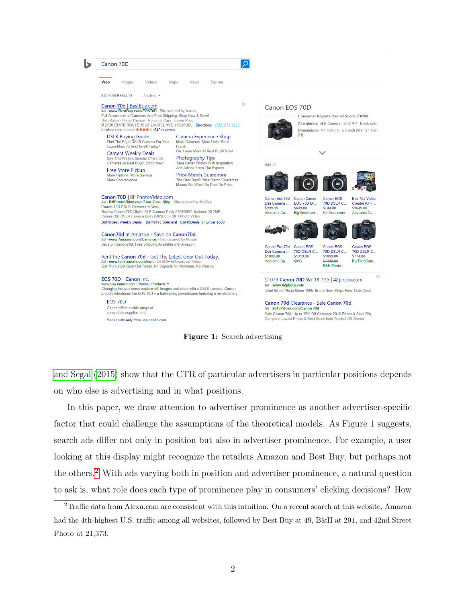<span id="page-3-0"></span>



[and Segal](#page-38-4) [\(2015\)](#page-38-4) show that the CTR of particular advertisers in particular positions depends on who else is advertising and in what positions.

In this paper, we draw attention to advertiser prominence as another advertiser-specific factor that could challenge the assumptions of the theoretical models. As Figure 1 suggests, search ads differ not only in position but also in advertiser prominence. For example, a user looking at this display might recognize the retailers Amazon and Best Buy, but perhaps not the others.[2](#page-3-1) With ads varying both in position and advertiser prominence, a natural question to ask is, what role does each type of prominence play in consumers' clicking decisions? How

<span id="page-3-1"></span><sup>&</sup>lt;sup>2</sup>Traffic data from Alexa.com are consistent with this intuition. On a recent search at this website, Amazon had the 4th-highest U.S. traffic among all websites, followed by Best Buy at 49, B&H at 291, and 42nd Street Photo at 21,373.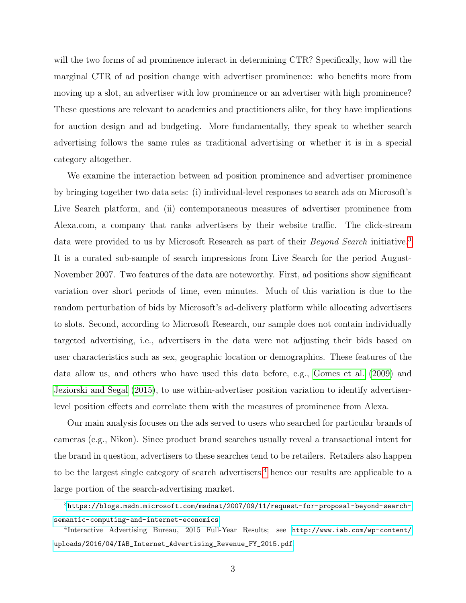will the two forms of ad prominence interact in determining CTR? Specifically, how will the marginal CTR of ad position change with advertiser prominence: who benefits more from moving up a slot, an advertiser with low prominence or an advertiser with high prominence? These questions are relevant to academics and practitioners alike, for they have implications for auction design and ad budgeting. More fundamentally, they speak to whether search advertising follows the same rules as traditional advertising or whether it is in a special category altogether.

We examine the interaction between ad position prominence and advertiser prominence by bringing together two data sets: (i) individual-level responses to search ads on Microsoft's Live Search platform, and (ii) contemporaneous measures of advertiser prominence from Alexa.com, a company that ranks advertisers by their website traffic. The click-stream data were provided to us by Microsoft Research as part of their *Beyond Search* initiative.<sup>[3](#page-4-0)</sup> It is a curated sub-sample of search impressions from Live Search for the period August-November 2007. Two features of the data are noteworthy. First, ad positions show significant variation over short periods of time, even minutes. Much of this variation is due to the random perturbation of bids by Microsoft's ad-delivery platform while allocating advertisers to slots. Second, according to Microsoft Research, our sample does not contain individually targeted advertising, i.e., advertisers in the data were not adjusting their bids based on user characteristics such as sex, geographic location or demographics. These features of the data allow us, and others who have used this data before, e.g., [Gomes et al.](#page-38-5) [\(2009\)](#page-38-5) and [Jeziorski and Segal](#page-38-4) [\(2015\)](#page-38-4), to use within-advertiser position variation to identify advertiserlevel position effects and correlate them with the measures of prominence from Alexa.

Our main analysis focuses on the ads served to users who searched for particular brands of cameras (e.g., Nikon). Since product brand searches usually reveal a transactional intent for the brand in question, advertisers to these searches tend to be retailers. Retailers also happen to be the largest single category of search advertisers;<sup>[4](#page-4-1)</sup> hence our results are applicable to a large portion of the search-advertising market.

<span id="page-4-0"></span> $3$ [https://blogs.msdn.microsoft.com/msdnat/2007/09/11/request-for-proposal-beyond-search](https://blogs.msdn.microsoft.com/msdnat/2007/09/11/request-for-proposal-beyond-search-semantic-computing-and-internet-economics)[semantic-computing-and-internet-economics](https://blogs.msdn.microsoft.com/msdnat/2007/09/11/request-for-proposal-beyond-search-semantic-computing-and-internet-economics).

<span id="page-4-1"></span><sup>4</sup> Interactive Advertising Bureau, 2015 Full-Year Results; see [http://www.iab.com/wp-content/](http://www.iab.com/wp-content/uploads/2016/04/IAB_Internet_Advertising_Revenue_FY_2015.pdf) [uploads/2016/04/IAB\\_Internet\\_Advertising\\_Revenue\\_FY\\_2015.pdf](http://www.iab.com/wp-content/uploads/2016/04/IAB_Internet_Advertising_Revenue_FY_2015.pdf).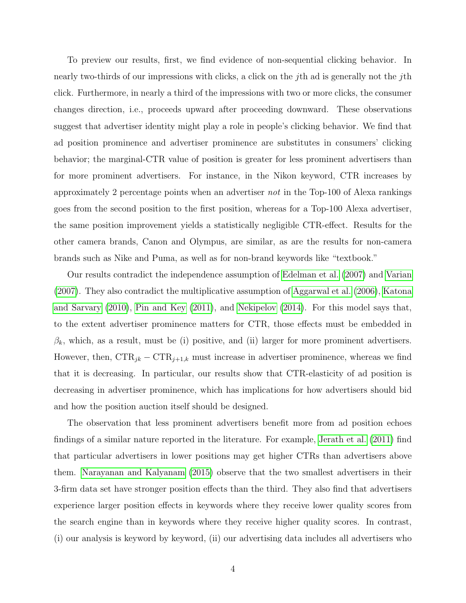To preview our results, first, we find evidence of non-sequential clicking behavior. In nearly two-thirds of our impressions with clicks, a click on the *j*th ad is generally not the *j*th click. Furthermore, in nearly a third of the impressions with two or more clicks, the consumer changes direction, i.e., proceeds upward after proceeding downward. These observations suggest that advertiser identity might play a role in people's clicking behavior. We find that ad position prominence and advertiser prominence are substitutes in consumers' clicking behavior; the marginal-CTR value of position is greater for less prominent advertisers than for more prominent advertisers. For instance, in the Nikon keyword, CTR increases by approximately 2 percentage points when an advertiser not in the Top-100 of Alexa rankings goes from the second position to the first position, whereas for a Top-100 Alexa advertiser, the same position improvement yields a statistically negligible CTR-effect. Results for the other camera brands, Canon and Olympus, are similar, as are the results for non-camera brands such as Nike and Puma, as well as for non-brand keywords like "textbook."

Our results contradict the independence assumption of [Edelman et al.](#page-37-0) [\(2007\)](#page-37-0) and [Varian](#page-39-0) [\(2007\)](#page-39-0). They also contradict the multiplicative assumption of [Aggarwal et al.](#page-36-0) [\(2006\)](#page-36-0), [Katona](#page-38-1) [and Sarvary](#page-38-1) [\(2010\)](#page-38-1), [Pin and Key](#page-38-2) [\(2011\)](#page-38-2), and [Nekipelov](#page-38-3) [\(2014\)](#page-38-3). For this model says that, to the extent advertiser prominence matters for CTR, those effects must be embedded in  $\beta_k$ , which, as a result, must be (i) positive, and (ii) larger for more prominent advertisers. However, then,  $CTR_{jk} - CTR_{j+1,k}$  must increase in advertiser prominence, whereas we find that it is decreasing. In particular, our results show that CTR-elasticity of ad position is decreasing in advertiser prominence, which has implications for how advertisers should bid and how the position auction itself should be designed.

The observation that less prominent advertisers benefit more from ad position echoes findings of a similar nature reported in the literature. For example, [Jerath et al.](#page-38-6) [\(2011\)](#page-38-6) find that particular advertisers in lower positions may get higher CTRs than advertisers above them. [Narayanan and Kalyanam](#page-38-0) [\(2015\)](#page-38-0) observe that the two smallest advertisers in their 3-firm data set have stronger position effects than the third. They also find that advertisers experience larger position effects in keywords where they receive lower quality scores from the search engine than in keywords where they receive higher quality scores. In contrast, (i) our analysis is keyword by keyword, (ii) our advertising data includes all advertisers who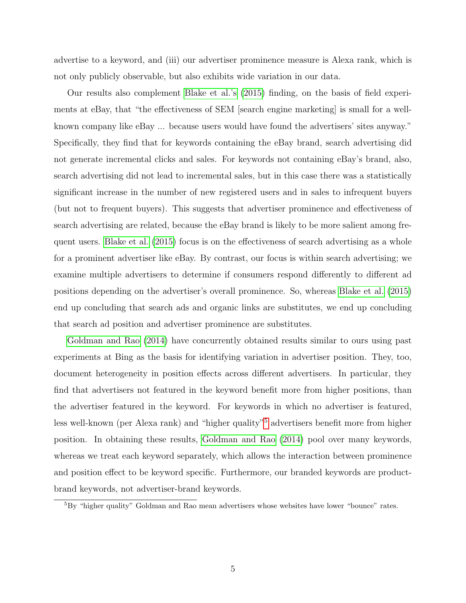advertise to a keyword, and (iii) our advertiser prominence measure is Alexa rank, which is not only publicly observable, but also exhibits wide variation in our data.

Our results also complement [Blake et al.'s](#page-36-5) [\(2015\)](#page-36-5) finding, on the basis of field experiments at eBay, that "the effectiveness of SEM [search engine marketing] is small for a wellknown company like eBay ... because users would have found the advertisers' sites anyway." Specifically, they find that for keywords containing the eBay brand, search advertising did not generate incremental clicks and sales. For keywords not containing eBay's brand, also, search advertising did not lead to incremental sales, but in this case there was a statistically significant increase in the number of new registered users and in sales to infrequent buyers (but not to frequent buyers). This suggests that advertiser prominence and effectiveness of search advertising are related, because the eBay brand is likely to be more salient among frequent users. [Blake et al.](#page-36-5) [\(2015\)](#page-36-5) focus is on the effectiveness of search advertising as a whole for a prominent advertiser like eBay. By contrast, our focus is within search advertising; we examine multiple advertisers to determine if consumers respond differently to different ad positions depending on the advertiser's overall prominence. So, whereas [Blake et al.](#page-36-5) [\(2015\)](#page-36-5) end up concluding that search ads and organic links are substitutes, we end up concluding that search ad position and advertiser prominence are substitutes.

[Goldman and Rao](#page-37-3) [\(2014\)](#page-37-3) have concurrently obtained results similar to ours using past experiments at Bing as the basis for identifying variation in advertiser position. They, too, document heterogeneity in position effects across different advertisers. In particular, they find that advertisers not featured in the keyword benefit more from higher positions, than the advertiser featured in the keyword. For keywords in which no advertiser is featured, less well-known (per Alexa rank) and "higher quality"[5](#page-6-0) advertisers benefit more from higher position. In obtaining these results, [Goldman and Rao](#page-37-3) [\(2014\)](#page-37-3) pool over many keywords, whereas we treat each keyword separately, which allows the interaction between prominence and position effect to be keyword specific. Furthermore, our branded keywords are productbrand keywords, not advertiser-brand keywords.

<span id="page-6-0"></span><sup>5</sup>By "higher quality" Goldman and Rao mean advertisers whose websites have lower "bounce" rates.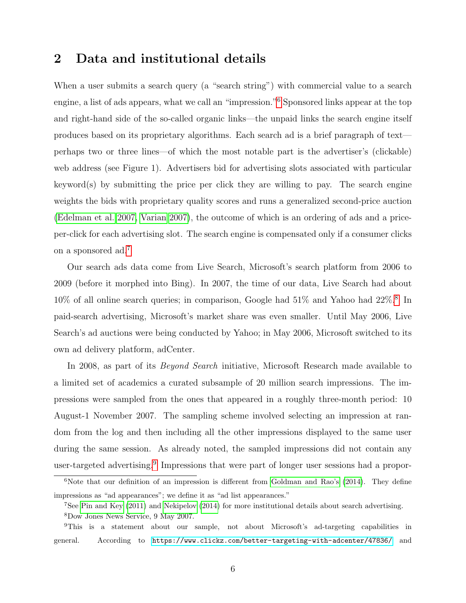# 2 Data and institutional details

When a user submits a search query (a "search string") with commercial value to a search engine, a list of ads appears, what we call an "impression."[6](#page-7-0) Sponsored links appear at the top and right-hand side of the so-called organic links—the unpaid links the search engine itself produces based on its proprietary algorithms. Each search ad is a brief paragraph of text perhaps two or three lines—of which the most notable part is the advertiser's (clickable) web address (see Figure 1). Advertisers bid for advertising slots associated with particular keyword(s) by submitting the price per click they are willing to pay. The search engine weights the bids with proprietary quality scores and runs a generalized second-price auction [\(Edelman et al. 2007,](#page-37-0) [Varian 2007\)](#page-39-0), the outcome of which is an ordering of ads and a priceper-click for each advertising slot. The search engine is compensated only if a consumer clicks on a sponsored ad.[7](#page-7-1)

Our search ads data come from Live Search, Microsoft's search platform from 2006 to 2009 (before it morphed into Bing). In 2007, the time of our data, Live Search had about  $10\%$  of all online search queries; in comparison, Google had  $51\%$  and Yahoo had  $22\%.$ <sup>[8](#page-7-2)</sup> In paid-search advertising, Microsoft's market share was even smaller. Until May 2006, Live Search's ad auctions were being conducted by Yahoo; in May 2006, Microsoft switched to its own ad delivery platform, adCenter.

In 2008, as part of its *Beyond Search* initiative, Microsoft Research made available to a limited set of academics a curated subsample of 20 million search impressions. The impressions were sampled from the ones that appeared in a roughly three-month period: 10 August-1 November 2007. The sampling scheme involved selecting an impression at random from the log and then including all the other impressions displayed to the same user during the same session. As already noted, the sampled impressions did not contain any user-targeted advertising.<sup>[9](#page-7-3)</sup> Impressions that were part of longer user sessions had a propor-

<span id="page-7-0"></span> $6$ Note that our definition of an impression is different from [Goldman and Rao's](#page-37-3)  $(2014)$ . They define impressions as "ad appearances"; we define it as "ad list appearances."

<span id="page-7-2"></span><span id="page-7-1"></span><sup>7</sup>See [Pin and Key](#page-38-2) [\(2011\)](#page-38-2) and [Nekipelov](#page-38-3) [\(2014\)](#page-38-3) for more institutional details about search advertising.

<span id="page-7-3"></span><sup>8</sup>Dow Jones News Service, 9 May 2007.

<sup>9</sup>This is a statement about our sample, not about Microsoft's ad-targeting capabilities in general. According to <https://www.clickz.com/better-targeting-with-adcenter/47836/> and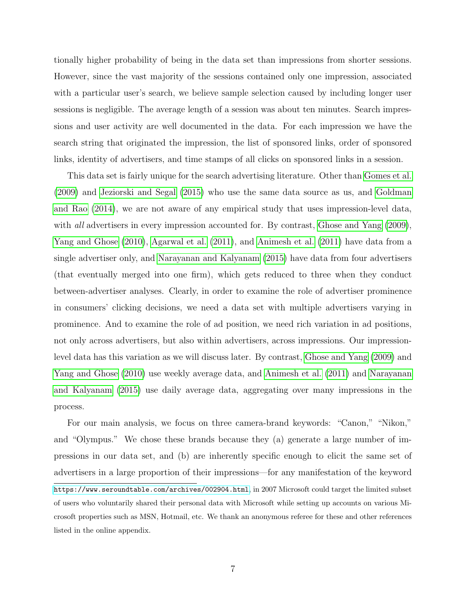tionally higher probability of being in the data set than impressions from shorter sessions. However, since the vast majority of the sessions contained only one impression, associated with a particular user's search, we believe sample selection caused by including longer user sessions is negligible. The average length of a session was about ten minutes. Search impressions and user activity are well documented in the data. For each impression we have the search string that originated the impression, the list of sponsored links, order of sponsored links, identity of advertisers, and time stamps of all clicks on sponsored links in a session.

This data set is fairly unique for the search advertising literature. Other than [Gomes et al.](#page-38-5) [\(2009\)](#page-38-5) and [Jeziorski and Segal](#page-38-4) [\(2015\)](#page-38-4) who use the same data source as us, and [Goldman](#page-37-3) [and Rao](#page-37-3) [\(2014\)](#page-37-3), we are not aware of any empirical study that uses impression-level data, with *all* advertisers in every impression accounted for. By contrast, [Ghose and Yang](#page-37-4)  $(2009)$ , [Yang and Ghose](#page-39-4) [\(2010\)](#page-39-4), [Agarwal et al.](#page-36-6) [\(2011\)](#page-36-6), and [Animesh et al.](#page-36-2) [\(2011\)](#page-36-2) have data from a single advertiser only, and [Narayanan and Kalyanam](#page-38-0) [\(2015\)](#page-38-0) have data from four advertisers (that eventually merged into one firm), which gets reduced to three when they conduct between-advertiser analyses. Clearly, in order to examine the role of advertiser prominence in consumers' clicking decisions, we need a data set with multiple advertisers varying in prominence. And to examine the role of ad position, we need rich variation in ad positions, not only across advertisers, but also within advertisers, across impressions. Our impressionlevel data has this variation as we will discuss later. By contrast, [Ghose and Yang](#page-37-4) [\(2009\)](#page-37-4) and [Yang and Ghose](#page-39-4) [\(2010\)](#page-39-4) use weekly average data, and [Animesh et al.](#page-36-2) [\(2011\)](#page-36-2) and [Narayanan](#page-38-0) [and Kalyanam](#page-38-0) [\(2015\)](#page-38-0) use daily average data, aggregating over many impressions in the process.

For our main analysis, we focus on three camera-brand keywords: "Canon," "Nikon," and "Olympus." We chose these brands because they (a) generate a large number of impressions in our data set, and (b) are inherently specific enough to elicit the same set of advertisers in a large proportion of their impressions—for any manifestation of the keyword <https://www.seroundtable.com/archives/002904.html>, in 2007 Microsoft could target the limited subset of users who voluntarily shared their personal data with Microsoft while setting up accounts on various Microsoft properties such as MSN, Hotmail, etc. We thank an anonymous referee for these and other references listed in the online appendix.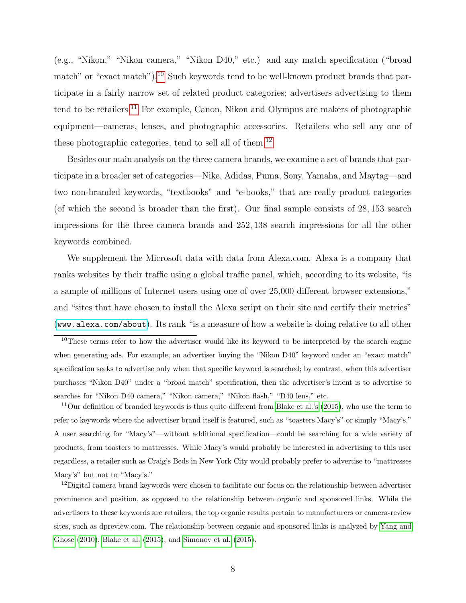(e.g., "Nikon," "Nikon camera," "Nikon D40," etc.) and any match specification ("broad match" or "exact match").<sup>[10](#page-9-0)</sup> Such keywords tend to be well-known product brands that participate in a fairly narrow set of related product categories; advertisers advertising to them tend to be retailers.[11](#page-9-1) For example, Canon, Nikon and Olympus are makers of photographic equipment—cameras, lenses, and photographic accessories. Retailers who sell any one of these photographic categories, tend to sell all of them.<sup>[12](#page-9-2)</sup>

Besides our main analysis on the three camera brands, we examine a set of brands that participate in a broader set of categories—Nike, Adidas, Puma, Sony, Yamaha, and Maytag—and two non-branded keywords, "textbooks" and "e-books," that are really product categories (of which the second is broader than the first). Our final sample consists of 28, 153 search impressions for the three camera brands and 252, 138 search impressions for all the other keywords combined.

We supplement the Microsoft data with data from Alexa.com. Alexa is a company that ranks websites by their traffic using a global traffic panel, which, according to its website, "is a sample of millions of Internet users using one of over 25,000 different browser extensions," and "sites that have chosen to install the Alexa script on their site and certify their metrics" (<www.alexa.com/about>). Its rank "is a measure of how a website is doing relative to all other

<span id="page-9-1"></span> $11$ Our definition of branded keywords is thus quite different from [Blake et al.'s](#page-36-5) [\(2015\)](#page-36-5), who use the term to refer to keywords where the advertiser brand itself is featured, such as "toasters Macy's" or simply "Macy's." A user searching for "Macy's"—without additional specification—could be searching for a wide variety of products, from toasters to mattresses. While Macy's would probably be interested in advertising to this user regardless, a retailer such as Craig's Beds in New York City would probably prefer to advertise to "mattresses Macy's" but not to "Macy's."

<span id="page-9-2"></span> $12$ Digital camera brand keywords were chosen to facilitate our focus on the relationship between advertiser prominence and position, as opposed to the relationship between organic and sponsored links. While the advertisers to these keywords are retailers, the top organic results pertain to manufacturers or camera-review sites, such as dpreview.com. The relationship between organic and sponsored links is analyzed by [Yang and](#page-39-4) [Ghose](#page-39-4) [\(2010\)](#page-39-4), [Blake et al.](#page-36-5) [\(2015\)](#page-36-5), and [Simonov et al.](#page-39-5) [\(2015\)](#page-39-5).

<span id="page-9-0"></span><sup>&</sup>lt;sup>10</sup>These terms refer to how the advertiser would like its keyword to be interpreted by the search engine when generating ads. For example, an advertiser buying the "Nikon D40" keyword under an "exact match" specification seeks to advertise only when that specific keyword is searched; by contrast, when this advertiser purchases "Nikon D40" under a "broad match" specification, then the advertiser's intent is to advertise to searches for "Nikon D40 camera," "Nikon camera," "Nikon flash," "D40 lens," etc.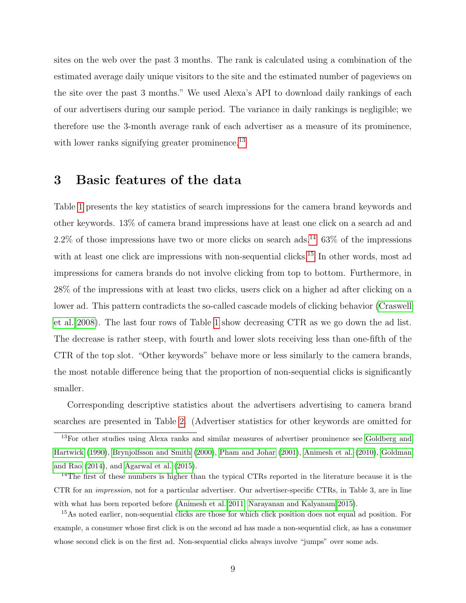sites on the web over the past 3 months. The rank is calculated using a combination of the estimated average daily unique visitors to the site and the estimated number of pageviews on the site over the past 3 months." We used Alexa's API to download daily rankings of each of our advertisers during our sample period. The variance in daily rankings is negligible; we therefore use the 3-month average rank of each advertiser as a measure of its prominence, with lower ranks signifying greater prominence.<sup>[13](#page-10-0)</sup>

# 3 Basic features of the data

Table [1](#page-11-0) presents the key statistics of search impressions for the camera brand keywords and other keywords. 13% of camera brand impressions have at least one click on a search ad and  $2.2\%$  of those impressions have two or more clicks on search ads.<sup>[14](#page-10-1)</sup> 63\% of the impressions with at least one click are impressions with non-sequential clicks.<sup>[15](#page-10-2)</sup> In other words, most ad impressions for camera brands do not involve clicking from top to bottom. Furthermore, in 28% of the impressions with at least two clicks, users click on a higher ad after clicking on a lower ad. This pattern contradicts the so-called cascade models of clicking behavior [\(Craswell](#page-37-5) [et al. 2008\)](#page-37-5). The last four rows of Table [1](#page-11-0) show decreasing CTR as we go down the ad list. The decrease is rather steep, with fourth and lower slots receiving less than one-fifth of the CTR of the top slot. "Other keywords" behave more or less similarly to the camera brands, the most notable difference being that the proportion of non-sequential clicks is significantly smaller.

Corresponding descriptive statistics about the advertisers advertising to camera brand searches are presented in Table [2.](#page-12-0) (Advertiser statistics for other keywords are omitted for

<span id="page-10-0"></span><sup>13</sup>For other studies using Alexa ranks and similar measures of advertiser prominence see [Goldberg and](#page-37-6) [Hartwick](#page-37-6) [\(1990\)](#page-37-6), [Brynjolfsson and Smith](#page-37-7) [\(2000\)](#page-37-7), [Pham and Johar](#page-38-7) [\(2001\)](#page-38-7), [Animesh et al.](#page-36-4) [\(2010\)](#page-36-4), [Goldman](#page-37-3) [and Rao](#page-37-3) [\(2014\)](#page-37-3), and [Agarwal et al.](#page-36-7) [\(2015\)](#page-36-7).

<span id="page-10-1"></span><sup>14</sup>The first of these numbers is higher than the typical CTRs reported in the literature because it is the CTR for an impression, not for a particular advertiser. Our advertiser-specific CTRs, in Table 3, are in line with what has been reported before [\(Animesh et al. 2011,](#page-36-2) [Narayanan and Kalyanam 2015\)](#page-38-0).

<span id="page-10-2"></span><sup>15</sup>As noted earlier, non-sequential clicks are those for which click position does not equal ad position. For example, a consumer whose first click is on the second ad has made a non-sequential click, as has a consumer whose second click is on the first ad. Non-sequential clicks always involve "jumps" over some ads.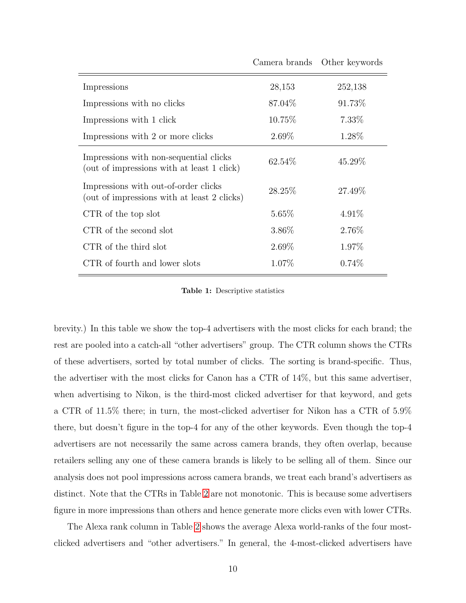<span id="page-11-0"></span>

|                                                                                      | Camera brands | Other keywords |
|--------------------------------------------------------------------------------------|---------------|----------------|
| Impressions                                                                          | 28,153        | 252,138        |
| Impressions with no clicks                                                           | 87.04\%       | 91.73%         |
| Impressions with 1 click                                                             | 10.75\%       | $7.33\%$       |
| Impressions with 2 or more clicks                                                    | $2.69\%$      | 1.28\%         |
| Impressions with non-sequential clicks<br>(out of impressions with at least 1 click) | 62.54\%       | 45.29%         |
| Impressions with out-of-order clicks<br>(out of impressions with at least 2 clicks)  | 28.25%        | 27.49\%        |
| CTR of the top slot                                                                  | $5.65\%$      | 4.91\%         |
| CTR of the second slot                                                               | 3.86\%        | 2.76\%         |
| CTR of the third slot                                                                | $2.69\%$      | 1.97%          |
| CTR of fourth and lower slots                                                        | $1.07\%$      | $0.74\%$       |

Table 1: Descriptive statistics

brevity.) In this table we show the top-4 advertisers with the most clicks for each brand; the rest are pooled into a catch-all "other advertisers" group. The CTR column shows the CTRs of these advertisers, sorted by total number of clicks. The sorting is brand-specific. Thus, the advertiser with the most clicks for Canon has a CTR of 14%, but this same advertiser, when advertising to Nikon, is the third-most clicked advertiser for that keyword, and gets a CTR of 11.5% there; in turn, the most-clicked advertiser for Nikon has a CTR of 5.9% there, but doesn't figure in the top-4 for any of the other keywords. Even though the top-4 advertisers are not necessarily the same across camera brands, they often overlap, because retailers selling any one of these camera brands is likely to be selling all of them. Since our analysis does not pool impressions across camera brands, we treat each brand's advertisers as distinct. Note that the CTRs in Table [2](#page-12-0) are not monotonic. This is because some advertisers figure in more impressions than others and hence generate more clicks even with lower CTRs.

The Alexa rank column in Table [2](#page-12-0) shows the average Alexa world-ranks of the four mostclicked advertisers and "other advertisers." In general, the 4-most-clicked advertisers have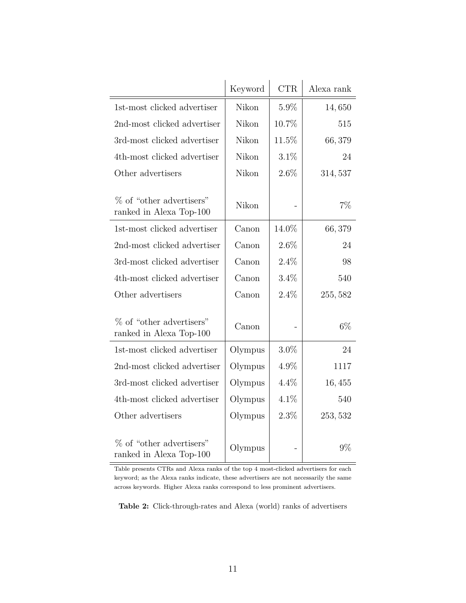<span id="page-12-0"></span>

|                                                     | Keyword | <b>CTR</b> | Alexa rank |
|-----------------------------------------------------|---------|------------|------------|
| 1st-most clicked advertiser                         | Nikon   | 5.9%       | 14,650     |
| 2nd-most clicked advertiser                         | Nikon   | 10.7%      | 515        |
| 3rd-most clicked advertiser                         | Nikon   | 11.5%      | 66,379     |
| 4th-most clicked advertiser                         | Nikon   | 3.1%       | 24         |
| Other advertisers                                   | Nikon   | 2.6%       | 314, 537   |
| % of "other advertisers"<br>ranked in Alexa Top-100 | Nikon   |            | 7%         |
| 1st-most clicked advertiser                         | Canon   | 14.0%      | 66,379     |
| 2nd-most clicked advertiser                         | Canon   | $2.6\%$    | 24         |
| 3rd-most clicked advertiser                         | Canon   | 2.4%       | 98         |
| 4th-most clicked advertiser                         | Canon   | 3.4%       | 540        |
| Other advertisers                                   | Canon   | 2.4%       | 255, 582   |
| % of "other advertisers"<br>ranked in Alexa Top-100 | Canon   |            | $6\%$      |
| 1st-most clicked advertiser                         | Olympus | $3.0\%$    | 24         |
| 2nd-most clicked advertiser                         | Olympus | 4.9%       | 1117       |
| 3rd-most clicked advertiser                         | Olympus | 4.4%       | 16,455     |
| 4th-most clicked advertiser                         | Olympus | 4.1%       | 540        |
| Other advertisers                                   | Olympus | 2.3%       | 253, 532   |
| % of "other advertisers"<br>ranked in Alexa Top-100 | Olympus |            | 9%         |

Table presents CTRs and Alexa ranks of the top 4 most-clicked advertisers for each keyword; as the Alexa ranks indicate, these advertisers are not necessarily the same across keywords. Higher Alexa ranks correspond to less prominent advertisers.

Table 2: Click-through-rates and Alexa (world) ranks of advertisers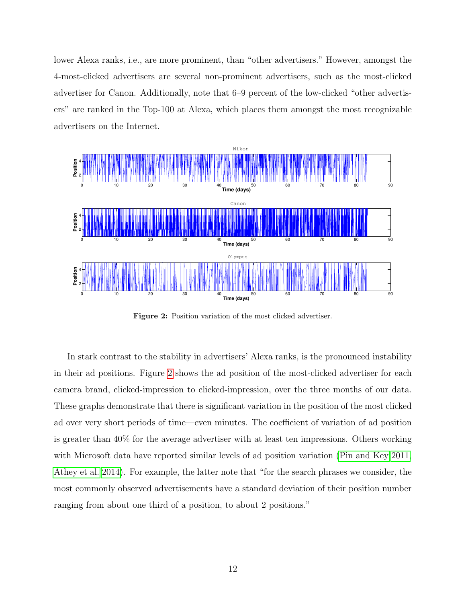lower Alexa ranks, i.e., are more prominent, than "other advertisers." However, amongst the 4-most-clicked advertisers are several non-prominent advertisers, such as the most-clicked advertiser for Canon. Additionally, note that 6–9 percent of the low-clicked "other advertisers" are ranked in the Top-100 at Alexa, which places them amongst the most recognizable advertisers on the Internet.

<span id="page-13-0"></span>

Figure 2: Position variation of the most clicked advertiser.

In stark contrast to the stability in advertisers' Alexa ranks, is the pronounced instability in their ad positions. Figure [2](#page-13-0) shows the ad position of the most-clicked advertiser for each camera brand, clicked-impression to clicked-impression, over the three months of our data. These graphs demonstrate that there is significant variation in the position of the most clicked ad over very short periods of time—even minutes. The coefficient of variation of ad position is greater than 40% for the average advertiser with at least ten impressions. Others working with Microsoft data have reported similar levels of ad position variation [\(Pin and Key 2011,](#page-38-2) [Athey et al. 2014\)](#page-36-8). For example, the latter note that "for the search phrases we consider, the most commonly observed advertisements have a standard deviation of their position number ranging from about one third of a position, to about 2 positions."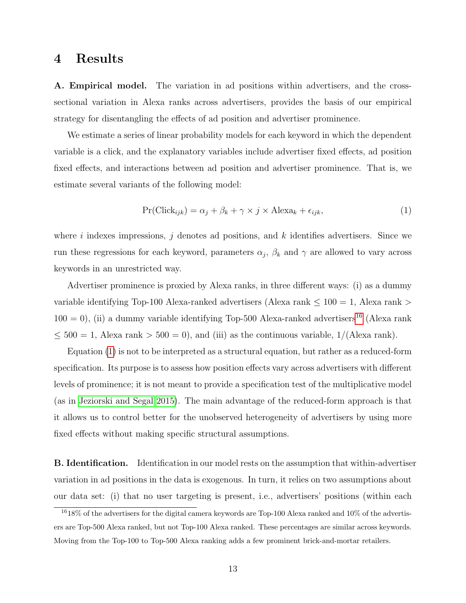### <span id="page-14-2"></span>4 Results

A. Empirical model. The variation in ad positions within advertisers, and the crosssectional variation in Alexa ranks across advertisers, provides the basis of our empirical strategy for disentangling the effects of ad position and advertiser prominence.

We estimate a series of linear probability models for each keyword in which the dependent variable is a click, and the explanatory variables include advertiser fixed effects, ad position fixed effects, and interactions between ad position and advertiser prominence. That is, we estimate several variants of the following model:

<span id="page-14-1"></span>
$$
Pr(Click_{ijk}) = \alpha_j + \beta_k + \gamma \times j \times Alexa_k + \epsilon_{ijk},
$$
\n(1)

where i indexes impressions, j denotes ad positions, and  $k$  identifies advertisers. Since we run these regressions for each keyword, parameters  $\alpha_j$ ,  $\beta_k$  and  $\gamma$  are allowed to vary across keywords in an unrestricted way.

Advertiser prominence is proxied by Alexa ranks, in three different ways: (i) as a dummy variable identifying Top-100 Alexa-ranked advertisers (Alexa rank  $\leq 100 = 1$ , Alexa rank  $>$  $100 = 0$ ), (ii) a dummy variable identifying Top-500 Alexa-ranked advertisers<sup>[16](#page-14-0)</sup> (Alexa rank  $\leq 500 = 1$ , Alexa rank  $> 500 = 0$ , and (iii) as the continuous variable,  $1/(\text{Alexa rank})$ .

Equation [\(1\)](#page-14-1) is not to be interpreted as a structural equation, but rather as a reduced-form specification. Its purpose is to assess how position effects vary across advertisers with different levels of prominence; it is not meant to provide a specification test of the multiplicative model (as in [Jeziorski and Segal 2015\)](#page-38-4). The main advantage of the reduced-form approach is that it allows us to control better for the unobserved heterogeneity of advertisers by using more fixed effects without making specific structural assumptions.

**B. Identification.** Identification in our model rests on the assumption that within-advertiser variation in ad positions in the data is exogenous. In turn, it relies on two assumptions about our data set: (i) that no user targeting is present, i.e., advertisers' positions (within each

<span id="page-14-0"></span> $1618\%$  of the advertisers for the digital camera keywords are Top-100 Alexa ranked and 10% of the advertisers are Top-500 Alexa ranked, but not Top-100 Alexa ranked. These percentages are similar across keywords. Moving from the Top-100 to Top-500 Alexa ranking adds a few prominent brick-and-mortar retailers.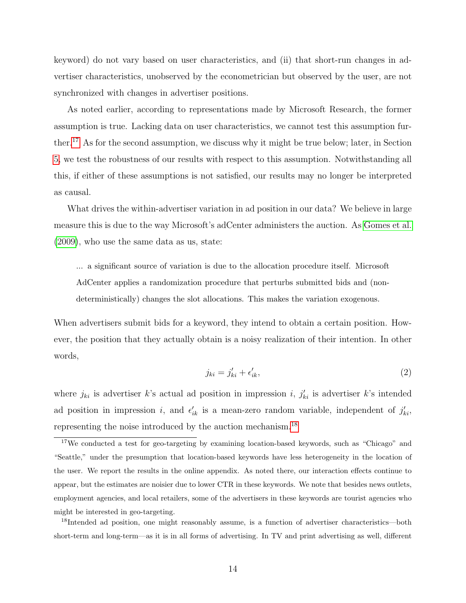keyword) do not vary based on user characteristics, and (ii) that short-run changes in advertiser characteristics, unobserved by the econometrician but observed by the user, are not synchronized with changes in advertiser positions.

As noted earlier, according to representations made by Microsoft Research, the former assumption is true. Lacking data on user characteristics, we cannot test this assumption further.[17](#page-15-0) As for the second assumption, we discuss why it might be true below; later, in Section [5,](#page-22-0) we test the robustness of our results with respect to this assumption. Notwithstanding all this, if either of these assumptions is not satisfied, our results may no longer be interpreted as causal.

What drives the within-advertiser variation in ad position in our data? We believe in large measure this is due to the way Microsoft's adCenter administers the auction. As [Gomes et al.](#page-38-5) [\(2009\)](#page-38-5), who use the same data as us, state:

... a significant source of variation is due to the allocation procedure itself. Microsoft AdCenter applies a randomization procedure that perturbs submitted bids and (nondeterministically) changes the slot allocations. This makes the variation exogenous.

When advertisers submit bids for a keyword, they intend to obtain a certain position. However, the position that they actually obtain is a noisy realization of their intention. In other words,

$$
j_{ki} = j'_{ki} + \epsilon'_{ik},\tag{2}
$$

where  $j_{ki}$  is advertiser k's actual ad position in impression i,  $j'_{ki}$  is advertiser k's intended ad position in impression i, and  $\epsilon'_{ik}$  is a mean-zero random variable, independent of  $j'_{ki}$ , representing the noise introduced by the auction mechanism.<sup>[18](#page-15-1)</sup>

<span id="page-15-1"></span><sup>18</sup>Intended ad position, one might reasonably assume, is a function of advertiser characteristics—both short-term and long-term—as it is in all forms of advertising. In TV and print advertising as well, different

<span id="page-15-0"></span><sup>&</sup>lt;sup>17</sup>We conducted a test for geo-targeting by examining location-based keywords, such as "Chicago" and "Seattle," under the presumption that location-based keywords have less heterogeneity in the location of the user. We report the results in the online appendix. As noted there, our interaction effects continue to appear, but the estimates are noisier due to lower CTR in these keywords. We note that besides news outlets, employment agencies, and local retailers, some of the advertisers in these keywords are tourist agencies who might be interested in geo-targeting.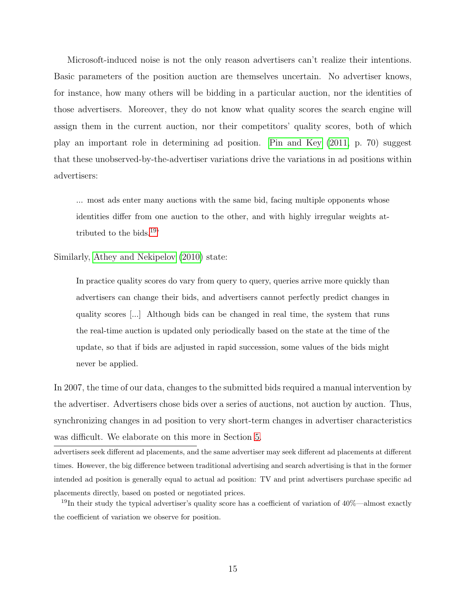Microsoft-induced noise is not the only reason advertisers can't realize their intentions. Basic parameters of the position auction are themselves uncertain. No advertiser knows, for instance, how many others will be bidding in a particular auction, nor the identities of those advertisers. Moreover, they do not know what quality scores the search engine will assign them in the current auction, nor their competitors' quality scores, both of which play an important role in determining ad position. [Pin and Key](#page-38-2) [\(2011,](#page-38-2) p. 70) suggest that these unobserved-by-the-advertiser variations drive the variations in ad positions within advertisers:

... most ads enter many auctions with the same bid, facing multiple opponents whose identities differ from one auction to the other, and with highly irregular weights at-tributed to the bids.<sup>[19](#page-16-0)</sup>

Similarly, [Athey and Nekipelov](#page-36-9) [\(2010\)](#page-36-9) state:

In practice quality scores do vary from query to query, queries arrive more quickly than advertisers can change their bids, and advertisers cannot perfectly predict changes in quality scores [...] Although bids can be changed in real time, the system that runs the real-time auction is updated only periodically based on the state at the time of the update, so that if bids are adjusted in rapid succession, some values of the bids might never be applied.

In 2007, the time of our data, changes to the submitted bids required a manual intervention by the advertiser. Advertisers chose bids over a series of auctions, not auction by auction. Thus, synchronizing changes in ad position to very short-term changes in advertiser characteristics was difficult. We elaborate on this more in Section [5.](#page-22-0)

advertisers seek different ad placements, and the same advertiser may seek different ad placements at different times. However, the big difference between traditional advertising and search advertising is that in the former intended ad position is generally equal to actual ad position: TV and print advertisers purchase specific ad placements directly, based on posted or negotiated prices.

<span id="page-16-0"></span> $19$ In their study the typical advertiser's quality score has a coefficient of variation of  $40\%$ —almost exactly the coefficient of variation we observe for position.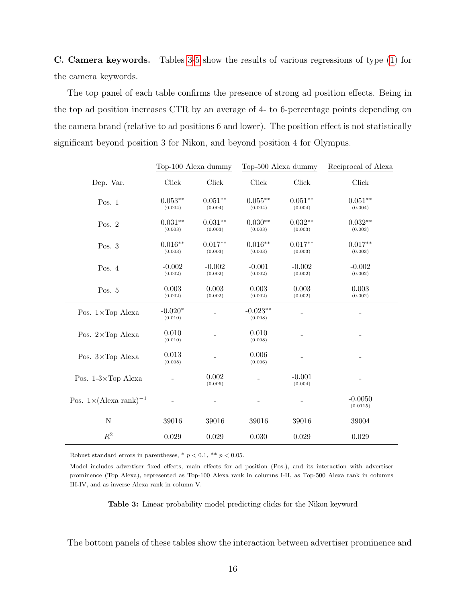C. Camera keywords. Tables [3](#page-17-0)[-5](#page-19-0) show the results of various regressions of type [\(1\)](#page-14-1) for the camera keywords.

The top panel of each table confirms the presence of strong ad position effects. Being in the top ad position increases CTR by an average of 4- to 6-percentage points depending on the camera brand (relative to ad positions 6 and lower). The position effect is not statistically significant beyond position 3 for Nikon, and beyond position 4 for Olympus.

<span id="page-17-0"></span>

|                                          |                      | Top-100 Alexa dummy  | Top-500 Alexa dummy   |                      | Reciprocal of Alexa   |
|------------------------------------------|----------------------|----------------------|-----------------------|----------------------|-----------------------|
| Dep. Var.                                | Click                | Click                | Click                 | Click                | Click                 |
| Pos. $1$                                 | $0.053**$<br>(0.004) | $0.051**$<br>(0.004) | $0.055***$<br>(0.004) | $0.051**$<br>(0.004) | $0.051**$<br>(0.004)  |
| Pos. $2$                                 | $0.031**$<br>(0.003) | $0.031**$<br>(0.003) | $0.030**$<br>(0.003)  | $0.032**$<br>(0.003) | $0.032**$<br>(0.003)  |
| Pos. $3$                                 | $0.016**$<br>(0.003) | $0.017**$<br>(0.003) | $0.016**$<br>(0.003)  | $0.017**$<br>(0.003) | $0.017**$<br>(0.003)  |
| Pos. 4                                   | $-0.002$<br>(0.002)  | $-0.002$<br>(0.002)  | $-0.001$<br>(0.002)   | $-0.002$<br>(0.002)  | $-0.002$<br>(0.002)   |
| Pos. 5                                   | 0.003<br>(0.002)     | 0.003<br>(0.002)     | 0.003<br>(0.002)      | 0.003<br>(0.002)     | 0.003<br>(0.002)      |
| Pos. $1 \times Top$ Alexa                | $-0.020*$<br>(0.010) |                      | $-0.023**$<br>(0.008) |                      |                       |
| Pos. $2 \times Top$ Alexa                | 0.010<br>(0.010)     |                      | 0.010<br>(0.008)      | -                    |                       |
| Pos. $3 \times Top$ Alexa                | 0.013<br>(0.008)     |                      | 0.006<br>(0.006)      |                      |                       |
| Pos. $1-3\times$ Top Alexa               |                      | 0.002<br>(0.006)     |                       | $-0.001$<br>(0.004)  |                       |
| Pos. $1 \times (\text{Alexa rank})^{-1}$ |                      |                      |                       |                      | $-0.0050$<br>(0.0115) |
| ${\rm N}$                                | 39016                | 39016                | 39016                 | 39016                | 39004                 |
| $\mathbb{R}^2$                           | 0.029                | 0.029                | 0.030                 | 0.029                | 0.029                 |

Robust standard errors in parentheses,  $*$   $p$  < 0.1,  $**$   $p$  < 0.05.

Model includes advertiser fixed effects, main effects for ad position (Pos.), and its interaction with advertiser prominence (Top Alexa), represented as Top-100 Alexa rank in columns I-II, as Top-500 Alexa rank in columns III-IV, and as inverse Alexa rank in column V.

Table 3: Linear probability model predicting clicks for the Nikon keyword

The bottom panels of these tables show the interaction between advertiser prominence and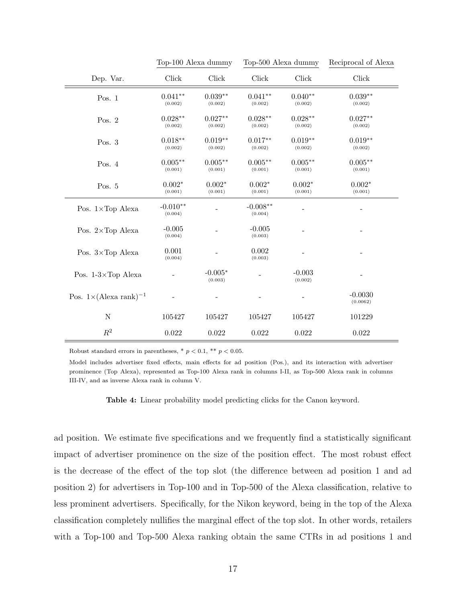<span id="page-18-0"></span>

|                                          | Top-100 Alexa dummy   |                      | Top-500 Alexa dummy   |                      | Reciprocal of Alexa   |
|------------------------------------------|-----------------------|----------------------|-----------------------|----------------------|-----------------------|
| Dep. Var.                                | Click                 | Click                | Click                 | Click                | Click                 |
| Pos. $1$                                 | $0.041**$<br>(0.002)  | $0.039**$<br>(0.002) | $0.041**$<br>(0.002)  | $0.040**$<br>(0.002) | $0.039**$<br>(0.002)  |
| Pos. $2$                                 | $0.028**$<br>(0.002)  | $0.027**$<br>(0.002) | $0.028**$<br>(0.002)  | $0.028**$<br>(0.002) | $0.027**$<br>(0.002)  |
| Pos. $3$                                 | $0.018**$<br>(0.002)  | $0.019**$<br>(0.002) | $0.017**$<br>(0.002)  | $0.019**$<br>(0.002) | $0.019**$<br>(0.002)  |
| Pos. $4$                                 | $0.005**$<br>(0.001)  | $0.005**$<br>(0.001) | $0.005**$<br>(0.001)  | $0.005**$<br>(0.001) | $0.005**$<br>(0.001)  |
| Pos. 5                                   | $0.002*$<br>(0.001)   | $0.002*$<br>(0.001)  | $0.002*$<br>(0.001)   | $0.002*$<br>(0.001)  | $0.002*$<br>(0.001)   |
| Pos. 1×Top Alexa                         | $-0.010**$<br>(0.004) |                      | $-0.008**$<br>(0.004) |                      |                       |
| Pos. 2×Top Alexa                         | $-0.005$<br>(0.004)   |                      | $-0.005$<br>(0.003)   |                      |                       |
| Pos. $3 \times Top$ Alexa                | 0.001<br>(0.004)      |                      | 0.002<br>(0.003)      |                      |                       |
| Pos. $1-3\times$ Top Alexa               |                       | $-0.005*$<br>(0.003) |                       | $-0.003$<br>(0.002)  |                       |
| Pos. $1 \times (\text{Alexa rank})^{-1}$ |                       |                      |                       |                      | $-0.0030$<br>(0.0062) |
| ${\rm N}$                                | 105427                | 105427               | 105427                | 105427               | 101229                |
| $\mathbb{R}^2$                           | 0.022                 | 0.022                | 0.022                 | 0.022                | 0.022                 |

Robust standard errors in parentheses,  $*$   $p$  < 0.1,  $**$   $p$  < 0.05.

Model includes advertiser fixed effects, main effects for ad position (Pos.), and its interaction with advertiser prominence (Top Alexa), represented as Top-100 Alexa rank in columns I-II, as Top-500 Alexa rank in columns III-IV, and as inverse Alexa rank in column V.

Table 4: Linear probability model predicting clicks for the Canon keyword.

ad position. We estimate five specifications and we frequently find a statistically significant impact of advertiser prominence on the size of the position effect. The most robust effect is the decrease of the effect of the top slot (the difference between ad position 1 and ad position 2) for advertisers in Top-100 and in Top-500 of the Alexa classification, relative to less prominent advertisers. Specifically, for the Nikon keyword, being in the top of the Alexa classification completely nullifies the marginal effect of the top slot. In other words, retailers with a Top-100 and Top-500 Alexa ranking obtain the same CTRs in ad positions 1 and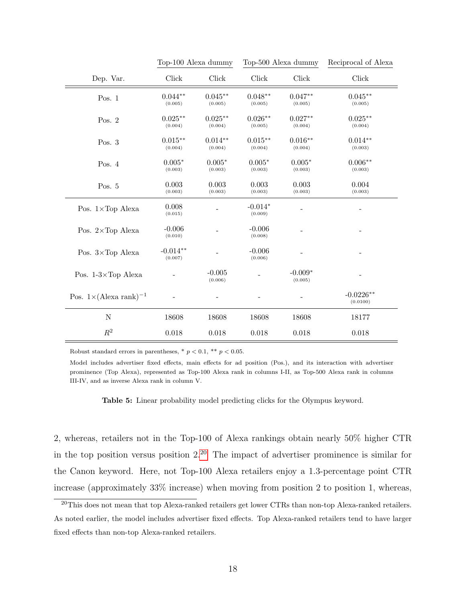<span id="page-19-0"></span>

|                                          | Top-100 Alexa dummy   |                       | Top-500 Alexa dummy    |                      | Reciprocal of Alexa           |
|------------------------------------------|-----------------------|-----------------------|------------------------|----------------------|-------------------------------|
| Dep. Var.                                | Click                 | Click                 | $\operatorname{Click}$ | Click                | Click                         |
| Pos. $1$                                 | $0.044**$<br>(0.005)  | $0.045***$<br>(0.005) | $0.048**$<br>(0.005)   | $0.047**$<br>(0.005) | $0.045^{\ast\ast}$<br>(0.005) |
| Pos. $2$                                 | $0.025***$<br>(0.004) | $0.025***$<br>(0.004) | $0.026**$<br>(0.005)   | $0.027**$<br>(0.004) | $0.025***$<br>(0.004)         |
| Pos. $3$                                 | $0.015**$<br>(0.004)  | $0.014**$<br>(0.004)  | $0.015**$<br>(0.004)   | $0.016**$<br>(0.004) | $0.014**$<br>(0.003)          |
| Pos. $4$                                 | $0.005*$<br>(0.003)   | $0.005*$<br>(0.003)   | $0.005*$<br>(0.003)    | $0.005*$<br>(0.003)  | $0.006**$<br>(0.003)          |
| Pos. 5                                   | 0.003<br>(0.003)      | 0.003<br>(0.003)      | 0.003<br>(0.003)       | 0.003<br>(0.003)     | 0.004<br>(0.003)              |
| Pos. 1×Top Alexa                         | 0.008<br>(0.015)      |                       | $-0.014*$<br>(0.009)   |                      |                               |
| Pos. 2×Top Alexa                         | $-0.006$<br>(0.010)   |                       | $-0.006$<br>(0.008)    |                      |                               |
| Pos. 3×Top Alexa                         | $-0.014**$<br>(0.007) |                       | $-0.006$<br>(0.006)    |                      |                               |
| Pos. $1-3\times$ Top Alexa               |                       | $-0.005$<br>(0.006)   |                        | $-0.009*$<br>(0.005) |                               |
| Pos. $1 \times (\text{Alexa rank})^{-1}$ |                       |                       |                        |                      | $-0.0226**$<br>(0.0100)       |
| ${\rm N}$                                | 18608                 | 18608                 | 18608                  | 18608                | 18177                         |
| $\mathbb{R}^2$                           | 0.018                 | 0.018                 | 0.018                  | 0.018                | 0.018                         |

Robust standard errors in parentheses,  $*$   $p < 0.1$ ,  $**$   $p < 0.05$ .

Model includes advertiser fixed effects, main effects for ad position (Pos.), and its interaction with advertiser prominence (Top Alexa), represented as Top-100 Alexa rank in columns I-II, as Top-500 Alexa rank in columns III-IV, and as inverse Alexa rank in column V.

Table 5: Linear probability model predicting clicks for the Olympus keyword.

2, whereas, retailers not in the Top-100 of Alexa rankings obtain nearly 50% higher CTR in the top position versus position  $2^{20}$  $2^{20}$  $2^{20}$ . The impact of advertiser prominence is similar for the Canon keyword. Here, not Top-100 Alexa retailers enjoy a 1.3-percentage point CTR increase (approximately 33% increase) when moving from position 2 to position 1, whereas,

<span id="page-19-1"></span><sup>&</sup>lt;sup>20</sup>This does not mean that top Alexa-ranked retailers get lower CTRs than non-top Alexa-ranked retailers. As noted earlier, the model includes advertiser fixed effects. Top Alexa-ranked retailers tend to have larger fixed effects than non-top Alexa-ranked retailers.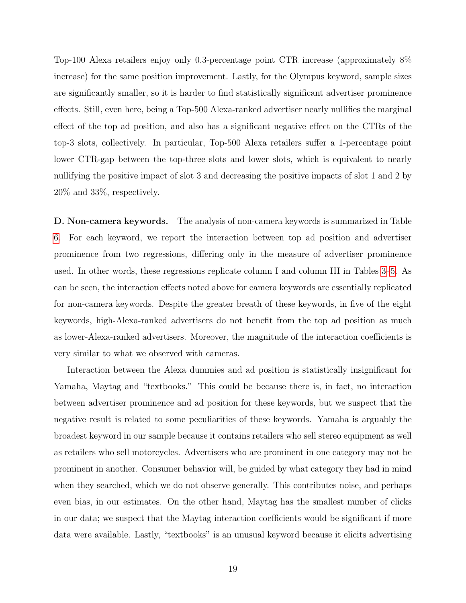Top-100 Alexa retailers enjoy only 0.3-percentage point CTR increase (approximately 8% increase) for the same position improvement. Lastly, for the Olympus keyword, sample sizes are significantly smaller, so it is harder to find statistically significant advertiser prominence effects. Still, even here, being a Top-500 Alexa-ranked advertiser nearly nullifies the marginal effect of the top ad position, and also has a significant negative effect on the CTRs of the top-3 slots, collectively. In particular, Top-500 Alexa retailers suffer a 1-percentage point lower CTR-gap between the top-three slots and lower slots, which is equivalent to nearly nullifying the positive impact of slot 3 and decreasing the positive impacts of slot 1 and 2 by 20% and 33%, respectively.

D. Non-camera keywords. The analysis of non-camera keywords is summarized in Table [6.](#page-21-0) For each keyword, we report the interaction between top ad position and advertiser prominence from two regressions, differing only in the measure of advertiser prominence used. In other words, these regressions replicate column I and column III in Tables [3](#page-17-0)[–5.](#page-19-0) As can be seen, the interaction effects noted above for camera keywords are essentially replicated for non-camera keywords. Despite the greater breath of these keywords, in five of the eight keywords, high-Alexa-ranked advertisers do not benefit from the top ad position as much as lower-Alexa-ranked advertisers. Moreover, the magnitude of the interaction coefficients is very similar to what we observed with cameras.

Interaction between the Alexa dummies and ad position is statistically insignificant for Yamaha, Maytag and "textbooks." This could be because there is, in fact, no interaction between advertiser prominence and ad position for these keywords, but we suspect that the negative result is related to some peculiarities of these keywords. Yamaha is arguably the broadest keyword in our sample because it contains retailers who sell stereo equipment as well as retailers who sell motorcycles. Advertisers who are prominent in one category may not be prominent in another. Consumer behavior will, be guided by what category they had in mind when they searched, which we do not observe generally. This contributes noise, and perhaps even bias, in our estimates. On the other hand, Maytag has the smallest number of clicks in our data; we suspect that the Maytag interaction coefficients would be significant if more data were available. Lastly, "textbooks" is an unusual keyword because it elicits advertising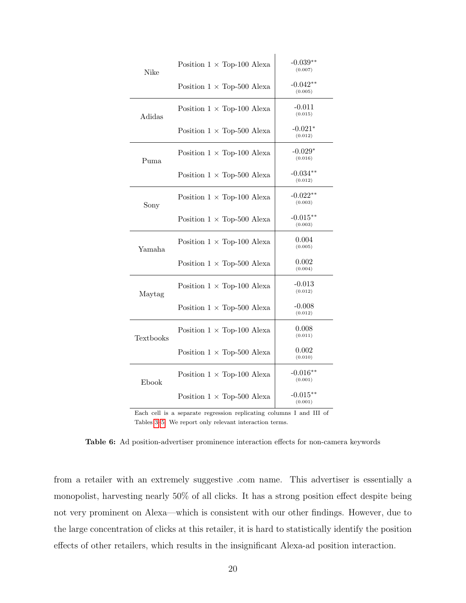<span id="page-21-0"></span>

| Nike             | Position $1 \times$ Top-100 Alexa | $-0.039**$<br>(0.007)  |
|------------------|-----------------------------------|------------------------|
|                  | Position $1 \times$ Top-500 Alexa | $-0.042**$<br>(0.005)  |
| Adidas           | Position $1 \times$ Top-100 Alexa | $-0.011$<br>(0.015)    |
|                  | Position $1 \times$ Top-500 Alexa | $-0.021*$<br>(0.012)   |
| Puma             | Position $1 \times$ Top-100 Alexa | $-0.029*$<br>(0.016)   |
|                  | Position $1 \times$ Top-500 Alexa | $-0.034**$<br>(0.012)  |
| Sony             | Position $1 \times$ Top-100 Alexa | $-0.022**$<br>(0.003)  |
|                  | Position $1 \times$ Top-500 Alexa | $-0.015***$<br>(0.003) |
| Yamaha           | Position $1 \times$ Top-100 Alexa | 0.004<br>(0.005)       |
|                  | Position $1 \times$ Top-500 Alexa | 0.002<br>(0.004)       |
| Maytag           | Position $1 \times$ Top-100 Alexa | $-0.013$<br>(0.012)    |
|                  | Position $1 \times$ Top-500 Alexa | $-0.008$<br>(0.012)    |
| <b>Textbooks</b> | Position $1 \times$ Top-100 Alexa | 0.008<br>(0.011)       |
|                  | Position $1 \times$ Top-500 Alexa | 0.002<br>(0.010)       |
| Ebook            | Position $1 \times$ Top-100 Alexa | $-0.016**$<br>(0.001)  |
|                  | Position $1 \times$ Top-500 Alexa | $-0.015**$<br>(0.001)  |

Each cell is a separate regression replicating columns I and III of Tables [3–](#page-17-0)[5.](#page-19-0) We report only relevant interaction terms.

Table 6: Ad position-advertiser prominence interaction effects for non-camera keywords

from a retailer with an extremely suggestive .com name. This advertiser is essentially a monopolist, harvesting nearly 50% of all clicks. It has a strong position effect despite being not very prominent on Alexa—which is consistent with our other findings. However, due to the large concentration of clicks at this retailer, it is hard to statistically identify the position effects of other retailers, which results in the insignificant Alexa-ad position interaction.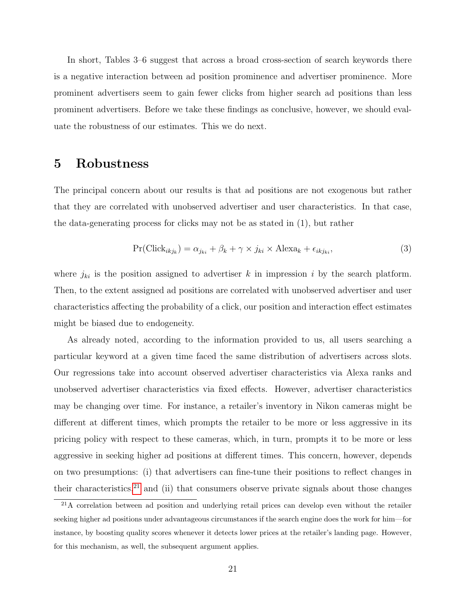In short, Tables 3–6 suggest that across a broad cross-section of search keywords there is a negative interaction between ad position prominence and advertiser prominence. More prominent advertisers seem to gain fewer clicks from higher search ad positions than less prominent advertisers. Before we take these findings as conclusive, however, we should evaluate the robustness of our estimates. This we do next.

## <span id="page-22-0"></span>5 Robustness

The principal concern about our results is that ad positions are not exogenous but rather that they are correlated with unobserved advertiser and user characteristics. In that case, the data-generating process for clicks may not be as stated in (1), but rather

$$
Pr(Click_{ikj_k}) = \alpha_{j_{ki}} + \beta_k + \gamma \times j_{ki} \times Alexa_k + \epsilon_{ikj_{ki}},
$$
\n(3)

where  $j_{ki}$  is the position assigned to advertiser k in impression i by the search platform. Then, to the extent assigned ad positions are correlated with unobserved advertiser and user characteristics affecting the probability of a click, our position and interaction effect estimates might be biased due to endogeneity.

As already noted, according to the information provided to us, all users searching a particular keyword at a given time faced the same distribution of advertisers across slots. Our regressions take into account observed advertiser characteristics via Alexa ranks and unobserved advertiser characteristics via fixed effects. However, advertiser characteristics may be changing over time. For instance, a retailer's inventory in Nikon cameras might be different at different times, which prompts the retailer to be more or less aggressive in its pricing policy with respect to these cameras, which, in turn, prompts it to be more or less aggressive in seeking higher ad positions at different times. This concern, however, depends on two presumptions: (i) that advertisers can fine-tune their positions to reflect changes in their characteristics, $21$  and (ii) that consumers observe private signals about those changes

<span id="page-22-1"></span><sup>21</sup>A correlation between ad position and underlying retail prices can develop even without the retailer seeking higher ad positions under advantageous circumstances if the search engine does the work for him—for instance, by boosting quality scores whenever it detects lower prices at the retailer's landing page. However, for this mechanism, as well, the subsequent argument applies.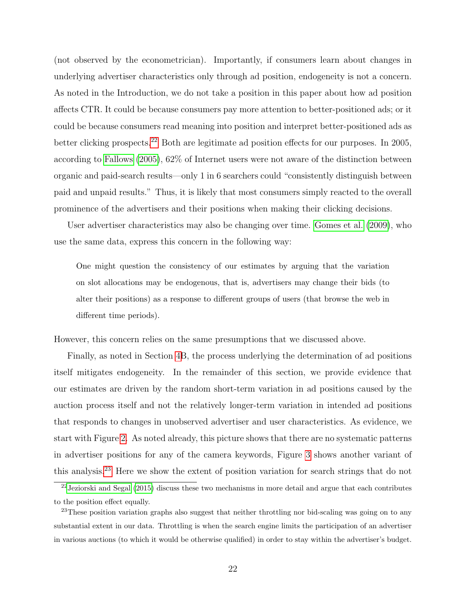(not observed by the econometrician). Importantly, if consumers learn about changes in underlying advertiser characteristics only through ad position, endogeneity is not a concern. As noted in the Introduction, we do not take a position in this paper about how ad position affects CTR. It could be because consumers pay more attention to better-positioned ads; or it could be because consumers read meaning into position and interpret better-positioned ads as better clicking prospects.<sup>[22](#page-23-0)</sup> Both are legitimate ad position effects for our purposes. In 2005, according to [Fallows](#page-37-8) [\(2005\)](#page-37-8), 62% of Internet users were not aware of the distinction between organic and paid-search results—only 1 in 6 searchers could "consistently distinguish between paid and unpaid results." Thus, it is likely that most consumers simply reacted to the overall prominence of the advertisers and their positions when making their clicking decisions.

User advertiser characteristics may also be changing over time. [Gomes et al.](#page-38-5) [\(2009\)](#page-38-5), who use the same data, express this concern in the following way:

One might question the consistency of our estimates by arguing that the variation on slot allocations may be endogenous, that is, advertisers may change their bids (to alter their positions) as a response to different groups of users (that browse the web in different time periods).

However, this concern relies on the same presumptions that we discussed above.

Finally, as noted in Section [4B](#page-14-2), the process underlying the determination of ad positions itself mitigates endogeneity. In the remainder of this section, we provide evidence that our estimates are driven by the random short-term variation in ad positions caused by the auction process itself and not the relatively longer-term variation in intended ad positions that responds to changes in unobserved advertiser and user characteristics. As evidence, we start with Figure [2.](#page-13-0) As noted already, this picture shows that there are no systematic patterns in advertiser positions for any of the camera keywords, Figure [3](#page-24-0) shows another variant of this analysis.[23](#page-23-1) Here we show the extent of position variation for search strings that do not

<span id="page-23-0"></span> $22$ [Jeziorski and Segal](#page-38-4) [\(2015\)](#page-38-4) discuss these two mechanisms in more detail and argue that each contributes to the position effect equally.

<span id="page-23-1"></span><sup>&</sup>lt;sup>23</sup>These position variation graphs also suggest that neither throttling nor bid-scaling was going on to any substantial extent in our data. Throttling is when the search engine limits the participation of an advertiser in various auctions (to which it would be otherwise qualified) in order to stay within the advertiser's budget.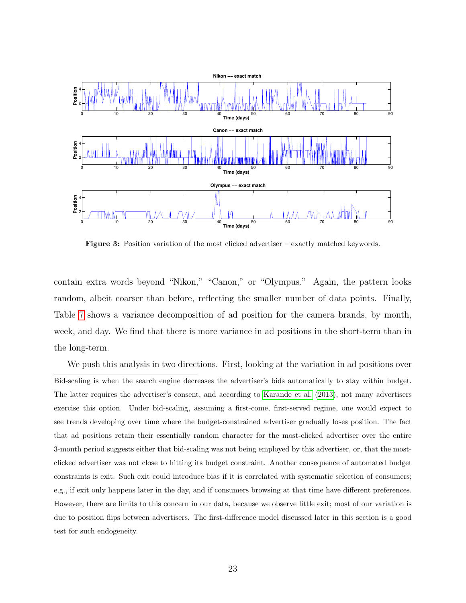<span id="page-24-0"></span>

Figure 3: Position variation of the most clicked advertiser – exactly matched keywords.

contain extra words beyond "Nikon," "Canon," or "Olympus." Again, the pattern looks random, albeit coarser than before, reflecting the smaller number of data points. Finally, Table [7](#page-25-0) shows a variance decomposition of ad position for the camera brands, by month, week, and day. We find that there is more variance in ad positions in the short-term than in the long-term.

We push this analysis in two directions. First, looking at the variation in ad positions over Bid-scaling is when the search engine decreases the advertiser's bids automatically to stay within budget. The latter requires the advertiser's consent, and according to [Karande et al.](#page-38-8) [\(2013\)](#page-38-8), not many advertisers exercise this option. Under bid-scaling, assuming a first-come, first-served regime, one would expect to see trends developing over time where the budget-constrained advertiser gradually loses position. The fact that ad positions retain their essentially random character for the most-clicked advertiser over the entire 3-month period suggests either that bid-scaling was not being employed by this advertiser, or, that the mostclicked advertiser was not close to hitting its budget constraint. Another consequence of automated budget constraints is exit. Such exit could introduce bias if it is correlated with systematic selection of consumers; e.g., if exit only happens later in the day, and if consumers browsing at that time have different preferences. However, there are limits to this concern in our data, because we observe little exit; most of our variation is due to position flips between advertisers. The first-difference model discussed later in this section is a good test for such endogeneity.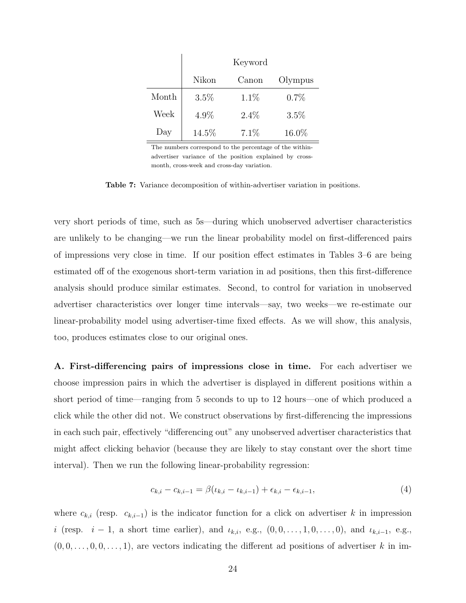<span id="page-25-0"></span>

|       |       | Keyword |         |
|-------|-------|---------|---------|
|       | Nikon | Canon   | Olympus |
| Month | 3.5%  | $1.1\%$ | 0.7%    |
| Week  | 4.9%  | $2.4\%$ | $3.5\%$ |
| Day   | 14.5% | 7.1%    | 16.0%   |

The numbers correspond to the percentage of the withinadvertiser variance of the position explained by crossmonth, cross-week and cross-day variation.

Table 7: Variance decomposition of within-advertiser variation in positions.

very short periods of time, such as 5s—during which unobserved advertiser characteristics are unlikely to be changing—we run the linear probability model on first-differenced pairs of impressions very close in time. If our position effect estimates in Tables 3–6 are being estimated off of the exogenous short-term variation in ad positions, then this first-difference analysis should produce similar estimates. Second, to control for variation in unobserved advertiser characteristics over longer time intervals—say, two weeks—we re-estimate our linear-probability model using advertiser-time fixed effects. As we will show, this analysis, too, produces estimates close to our original ones.

A. First-differencing pairs of impressions close in time. For each advertiser we choose impression pairs in which the advertiser is displayed in different positions within a short period of time—ranging from 5 seconds to up to 12 hours—one of which produced a click while the other did not. We construct observations by first-differencing the impressions in each such pair, effectively "differencing out" any unobserved advertiser characteristics that might affect clicking behavior (because they are likely to stay constant over the short time interval). Then we run the following linear-probability regression:

$$
c_{k,i} - c_{k,i-1} = \beta(\iota_{k,i} - \iota_{k,i-1}) + \epsilon_{k,i} - \epsilon_{k,i-1},
$$
\n(4)

where  $c_{k,i}$  (resp.  $c_{k,i-1}$ ) is the indicator function for a click on advertiser k in impression i (resp.  $i-1$ , a short time earlier), and  $\iota_{k,i}$ , e.g.,  $(0,0,\ldots,1,0,\ldots,0)$ , and  $\iota_{k,i-1}$ , e.g.,  $(0, 0, \ldots, 0, 0, \ldots, 1)$ , are vectors indicating the different ad positions of advertiser k in im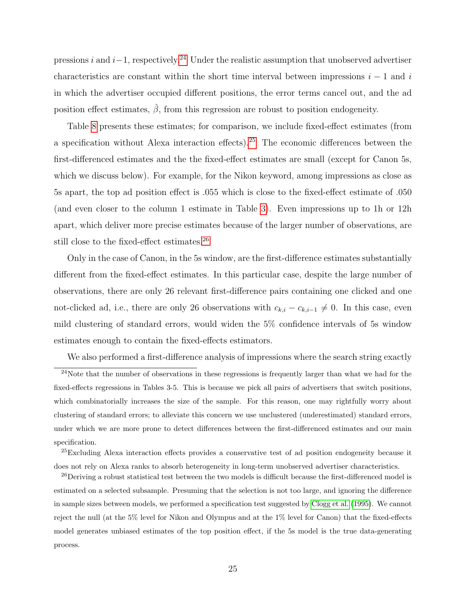pressions i and i–1, respectively.<sup>[24](#page-26-0)</sup> Under the realistic assumption that unobserved advertiser characteristics are constant within the short time interval between impressions  $i - 1$  and i in which the advertiser occupied different positions, the error terms cancel out, and the ad position effect estimates,  $\hat{\beta}$ , from this regression are robust to position endogeneity.

Table [8](#page-27-0) presents these estimates; for comparison, we include fixed-effect estimates (from a specification without Alexa interaction effects).<sup>[25](#page-26-1)</sup> The economic differences between the first-differenced estimates and the the fixed-effect estimates are small (except for Canon 5s, which we discuss below). For example, for the Nikon keyword, among impressions as close as 5s apart, the top ad position effect is .055 which is close to the fixed-effect estimate of .050 (and even closer to the column 1 estimate in Table [3\)](#page-17-0). Even impressions up to 1h or 12h apart, which deliver more precise estimates because of the larger number of observations, are still close to the fixed-effect estimates.<sup>[26](#page-26-2)</sup>

Only in the case of Canon, in the 5s window, are the first-difference estimates substantially different from the fixed-effect estimates. In this particular case, despite the large number of observations, there are only 26 relevant first-difference pairs containing one clicked and one not-clicked ad, i.e., there are only 26 observations with  $c_{k,i} - c_{k,i-1} \neq 0$ . In this case, even mild clustering of standard errors, would widen the 5% confidence intervals of 5s window estimates enough to contain the fixed-effects estimators.

<span id="page-26-0"></span>We also performed a first-difference analysis of impressions where the search string exactly

 $^{24}$ Note that the number of observations in these regressions is frequently larger than what we had for the fixed-effects regressions in Tables 3-5. This is because we pick all pairs of advertisers that switch positions, which combinatorially increases the size of the sample. For this reason, one may rightfully worry about clustering of standard errors; to alleviate this concern we use unclustered (underestimated) standard errors, under which we are more prone to detect differences between the first-differenced estimates and our main specification.

<span id="page-26-1"></span><sup>25</sup>Excluding Alexa interaction effects provides a conservative test of ad position endogeneity because it does not rely on Alexa ranks to absorb heterogeneity in long-term unobserved advertiser characteristics.

<span id="page-26-2"></span><sup>&</sup>lt;sup>26</sup>Deriving a robust statistical test between the two models is difficult because the first-differenced model is estimated on a selected subsample. Presuming that the selection is not too large, and ignoring the difference in sample sizes between models, we performed a specification test suggested by [Clogg et al.](#page-37-9) [\(1995\)](#page-37-9). We cannot reject the null (at the 5% level for Nikon and Olympus and at the 1% level for Canon) that the fixed-effects model generates unbiased estimates of the top position effect, if the 5s model is the true data-generating process.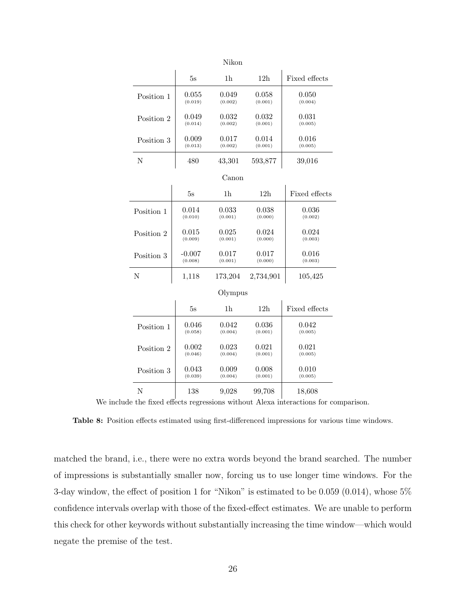<span id="page-27-0"></span>

|            |          | Nikon          |                 |               |
|------------|----------|----------------|-----------------|---------------|
|            | 5s       | 1 <sub>h</sub> | 12 <sub>h</sub> | Fixed effects |
| Position 1 | 0.055    | 0.049          | 0.058           | 0.050         |
|            | (0.019)  | (0.002)        | (0.001)         | (0.004)       |
| Position 2 | 0.049    | 0.032          | 0.032           | 0.031         |
|            | (0.014)  | (0.002)        | (0.001)         | (0.005)       |
| Position 3 | 0.009    | 0.017          | 0.014           | 0.016         |
|            | (0.013)  | (0.002)        | (0.001)         | (0.005)       |
| N          | 480      | 43,301         | 593,877         | 39,016        |
|            |          | Canon          |                 |               |
|            | 5s       | 1 <sub>h</sub> | 12h             | Fixed effects |
| Position 1 | 0.014    | 0.033          | 0.038           | 0.036         |
|            | (0.010)  | (0.001)        | (0.000)         | (0.002)       |
| Position 2 | 0.015    | 0.025          | 0.024           | 0.024         |
|            | (0.009)  | (0.001)        | (0.000)         | (0.003)       |
| Position 3 | $-0.007$ | 0.017          | 0.017           | 0.016         |
|            | (0.008)  | (0.001)        | (0.000)         | (0.003)       |
| N          | 1,118    | 173,204        | 2,734,901       | 105,425       |
|            |          | Olympus        |                 |               |
|            | 5s       | 1 <sub>h</sub> | 12h             | Fixed effects |
| Position 1 | 0.046    | 0.042          | 0.036           | 0.042         |
|            | (0.058)  | (0.004)        | (0.001)         | (0.005)       |
| Position 2 | 0.002    | 0.023          | 0.021           | 0.021         |
|            | (0.046)  | (0.004)        | (0.001)         | (0.005)       |
| Position 3 | 0.043    | $0.009\,$      | 0.008           | 0.010         |
|            | (0.039)  | (0.004)        | (0.001)         | (0.005)       |
| N          | 138      | 9,028          | 99,708          | 18,608        |

We include the fixed effects regressions without Alexa interactions for comparison.

Table 8: Position effects estimated using first-differenced impressions for various time windows.

matched the brand, i.e., there were no extra words beyond the brand searched. The number of impressions is substantially smaller now, forcing us to use longer time windows. For the 3-day window, the effect of position 1 for "Nikon" is estimated to be 0.059 (0.014), whose 5% confidence intervals overlap with those of the fixed-effect estimates. We are unable to perform this check for other keywords without substantially increasing the time window—which would negate the premise of the test.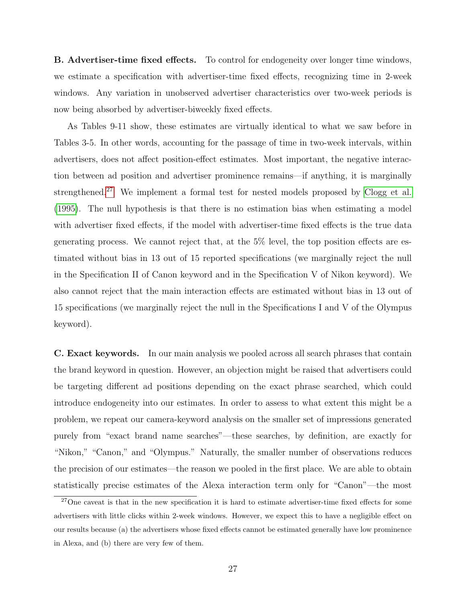B. Advertiser-time fixed effects. To control for endogeneity over longer time windows, we estimate a specification with advertiser-time fixed effects, recognizing time in 2-week windows. Any variation in unobserved advertiser characteristics over two-week periods is now being absorbed by advertiser-biweekly fixed effects.

As Tables 9-11 show, these estimates are virtually identical to what we saw before in Tables 3-5. In other words, accounting for the passage of time in two-week intervals, within advertisers, does not affect position-effect estimates. Most important, the negative interaction between ad position and advertiser prominence remains—if anything, it is marginally strengthened.[27](#page-28-0) We implement a formal test for nested models proposed by [Clogg et al.](#page-37-9) [\(1995\)](#page-37-9). The null hypothesis is that there is no estimation bias when estimating a model with advertiser fixed effects, if the model with advertiser-time fixed effects is the true data generating process. We cannot reject that, at the 5% level, the top position effects are estimated without bias in 13 out of 15 reported specifications (we marginally reject the null in the Specification II of Canon keyword and in the Specification V of Nikon keyword). We also cannot reject that the main interaction effects are estimated without bias in 13 out of 15 specifications (we marginally reject the null in the Specifications I and V of the Olympus keyword).

C. Exact keywords. In our main analysis we pooled across all search phrases that contain the brand keyword in question. However, an objection might be raised that advertisers could be targeting different ad positions depending on the exact phrase searched, which could introduce endogeneity into our estimates. In order to assess to what extent this might be a problem, we repeat our camera-keyword analysis on the smaller set of impressions generated purely from "exact brand name searches"—these searches, by definition, are exactly for "Nikon," "Canon," and "Olympus." Naturally, the smaller number of observations reduces the precision of our estimates—the reason we pooled in the first place. We are able to obtain statistically precise estimates of the Alexa interaction term only for "Canon"—the most

<span id="page-28-0"></span><sup>&</sup>lt;sup>27</sup>One caveat is that in the new specification it is hard to estimate advertiser-time fixed effects for some advertisers with little clicks within 2-week windows. However, we expect this to have a negligible effect on our results because (a) the advertisers whose fixed effects cannot be estimated generally have low prominence in Alexa, and (b) there are very few of them.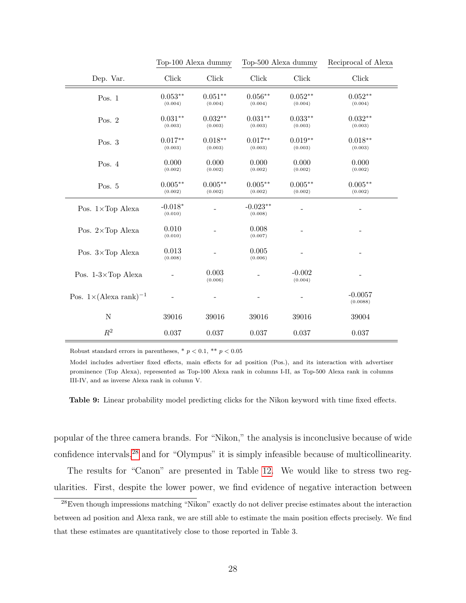|                                          | Top-100 Alexa dummy           |                      | Top-500 Alexa dummy   |                      | Reciprocal of Alexa           |
|------------------------------------------|-------------------------------|----------------------|-----------------------|----------------------|-------------------------------|
| Dep. Var.                                | Click                         | Click                | <b>Click</b>          | Click                | Click                         |
| Pos. $1$                                 | $0.053^{\ast\ast}$<br>(0.004) | $0.051**$<br>(0.004) | $0.056**$<br>(0.004)  | $0.052**$<br>(0.004) | $0.052^{\ast\ast}$<br>(0.004) |
| Pos. $2$                                 | $0.031**$<br>(0.003)          | $0.032**$<br>(0.003) | $0.031**$<br>(0.003)  | $0.033**$<br>(0.003) | $0.032**$<br>(0.003)          |
| Pos. 3                                   | $0.017**$<br>(0.003)          | $0.018**$<br>(0.003) | $0.017**$<br>(0.003)  | $0.019**$<br>(0.003) | $0.018**$<br>(0.003)          |
| Pos. $4$                                 | 0.000<br>(0.002)              | 0.000<br>(0.002)     | 0.000<br>(0.002)      | 0.000<br>(0.002)     | 0.000<br>(0.002)              |
| Pos. 5                                   | $0.005**$<br>(0.002)          | $0.005**$<br>(0.002) | $0.005**$<br>(0.002)  | $0.005**$<br>(0.002) | $0.005**$<br>(0.002)          |
| Pos. 1×Top Alexa                         | $-0.018*$<br>(0.010)          |                      | $-0.023**$<br>(0.008) |                      |                               |
| Pos. $2 \times Top$ Alexa                | 0.010<br>(0.010)              |                      | 0.008<br>(0.007)      |                      |                               |
| Pos. 3×Top Alexa                         | 0.013<br>(0.008)              |                      | 0.005<br>(0.006)      |                      |                               |
| Pos. $1-3\times$ Top Alexa               |                               | 0.003<br>(0.006)     |                       | $-0.002$<br>(0.004)  |                               |
| Pos. $1 \times (\text{Alexa rank})^{-1}$ |                               |                      |                       |                      | $-0.0057$<br>(0.0088)         |
| ${\rm N}$                                | 39016                         | 39016                | 39016                 | 39016                | 39004                         |
| $\mathbb{R}^2$                           | 0.037                         | 0.037                | 0.037                 | 0.037                | 0.037                         |

Robust standard errors in parentheses,  $*$   $p < 0.1$ ,  $**$   $p < 0.05$ 

Model includes advertiser fixed effects, main effects for ad position (Pos.), and its interaction with advertiser prominence (Top Alexa), represented as Top-100 Alexa rank in columns I-II, as Top-500 Alexa rank in columns III-IV, and as inverse Alexa rank in column V.

Table 9: Linear probability model predicting clicks for the Nikon keyword with time fixed effects.

popular of the three camera brands. For "Nikon," the analysis is inconclusive because of wide confidence intervals,<sup>[28](#page-29-0)</sup> and for "Olympus" it is simply infeasible because of multicollinearity.

The results for "Canon" are presented in Table [12.](#page-32-0) We would like to stress two regularities. First, despite the lower power, we find evidence of negative interaction between

<span id="page-29-0"></span><sup>&</sup>lt;sup>28</sup>Even though impressions matching "Nikon" exactly do not deliver precise estimates about the interaction between ad position and Alexa rank, we are still able to estimate the main position effects precisely. We find that these estimates are quantitatively close to those reported in Table 3.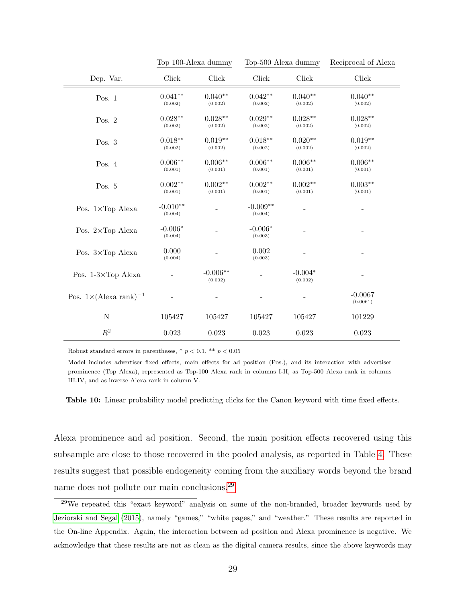|                                          | Top 100-Alexa dummy   |                       | Top-500 Alexa dummy   |                      | Reciprocal of Alexa   |
|------------------------------------------|-----------------------|-----------------------|-----------------------|----------------------|-----------------------|
| Dep. Var.                                | Click                 | Click                 | Click                 | Click                | Click                 |
| Pos. $1$                                 | $0.041**$<br>(0.002)  | $0.040**$<br>(0.002)  | $0.042**$<br>(0.002)  | $0.040**$<br>(0.002) | $0.040**$<br>(0.002)  |
| Pos. $2$                                 | $0.028**$<br>(0.002)  | $0.028**$<br>(0.002)  | $0.029**$<br>(0.002)  | $0.028**$<br>(0.002) | $0.028**$<br>(0.002)  |
| Pos. 3                                   | $0.018**$<br>(0.002)  | $0.019**$<br>(0.002)  | $0.018**$<br>(0.002)  | $0.020**$<br>(0.002) | $0.019**$<br>(0.002)  |
| Pos. 4                                   | $0.006**$<br>(0.001)  | $0.006**$<br>(0.001)  | $0.006**$<br>(0.001)  | $0.006**$<br>(0.001) | $0.006**$<br>(0.001)  |
| Pos. 5                                   | $0.002**$<br>(0.001)  | $0.002**$<br>(0.001)  | $0.002**$<br>(0.001)  | $0.002**$<br>(0.001) | $0.003**$<br>(0.001)  |
| Pos. $1 \times Top$ Alexa                | $-0.010**$<br>(0.004) |                       | $-0.009**$<br>(0.004) |                      |                       |
| Pos. $2 \times Top$ Alexa                | $-0.006*$<br>(0.004)  |                       | $-0.006*$<br>(0.003)  |                      |                       |
| Pos. $3 \times Top$ Alexa                | 0.000<br>(0.004)      |                       | 0.002<br>(0.003)      |                      |                       |
| Pos. $1-3\times$ Top Alexa               |                       | $-0.006**$<br>(0.002) |                       | $-0.004*$<br>(0.002) |                       |
| Pos. $1 \times (\text{Alexa rank})^{-1}$ |                       |                       |                       |                      | $-0.0067$<br>(0.0061) |
| ${\bf N}$                                | 105427                | 105427                | 105427                | 105427               | 101229                |
| $\mathbb{R}^2$                           | 0.023                 | 0.023                 | 0.023                 | 0.023                | 0.023                 |

Robust standard errors in parentheses,  $*$   $p$  < 0.1,  $**$   $p$  < 0.05

Model includes advertiser fixed effects, main effects for ad position (Pos.), and its interaction with advertiser prominence (Top Alexa), represented as Top-100 Alexa rank in columns I-II, as Top-500 Alexa rank in columns III-IV, and as inverse Alexa rank in column V.

Table 10: Linear probability model predicting clicks for the Canon keyword with time fixed effects.

Alexa prominence and ad position. Second, the main position effects recovered using this subsample are close to those recovered in the pooled analysis, as reported in Table [4.](#page-18-0) These results suggest that possible endogeneity coming from the auxiliary words beyond the brand name does not pollute our main conclusions.[29](#page-30-0)

<span id="page-30-0"></span><sup>29</sup>We repeated this "exact keyword" analysis on some of the non-branded, broader keywords used by [Jeziorski and Segal](#page-38-4) [\(2015\)](#page-38-4), namely "games," "white pages," and "weather." These results are reported in the On-line Appendix. Again, the interaction between ad position and Alexa prominence is negative. We acknowledge that these results are not as clean as the digital camera results, since the above keywords may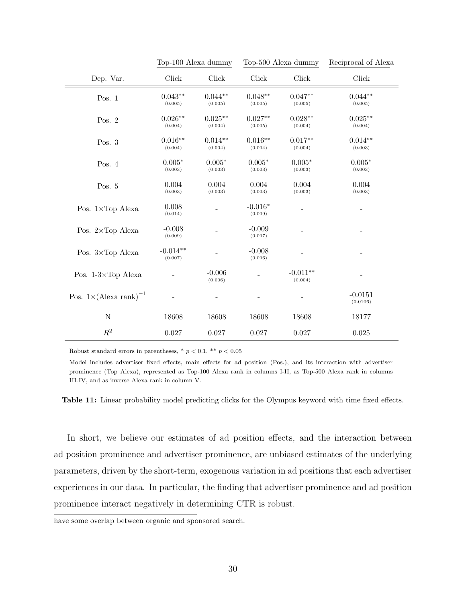|                                          | Top-100 Alexa dummy   |                       | Top-500 Alexa dummy  |                       | Reciprocal of Alexa   |
|------------------------------------------|-----------------------|-----------------------|----------------------|-----------------------|-----------------------|
| Dep. Var.                                | Click                 | <b>Click</b>          | Click                | <b>Click</b>          | Click                 |
| Pos. $1$                                 | $0.043**$<br>(0.005)  | $0.044**$<br>(0.005)  | $0.048**$<br>(0.005) | $0.047**$<br>(0.005)  | $0.044**$<br>(0.005)  |
| Pos. $2$                                 | $0.026**$<br>(0.004)  | $0.025***$<br>(0.004) | $0.027**$<br>(0.005) | $0.028**$<br>(0.004)  | $0.025***$<br>(0.004) |
| Pos. $3$                                 | $0.016**$<br>(0.004)  | $0.014**$<br>(0.004)  | $0.016**$<br>(0.004) | $0.017**$<br>(0.004)  | $0.014**$<br>(0.003)  |
| Pos. $4$                                 | $0.005*$<br>(0.003)   | $0.005*$<br>(0.003)   | $0.005*$<br>(0.003)  | $0.005*$<br>(0.003)   | $0.005*$<br>(0.003)   |
| Pos. 5                                   | 0.004<br>(0.003)      | 0.004<br>(0.003)      | 0.004<br>(0.003)     | 0.004<br>(0.003)      | 0.004<br>(0.003)      |
| Pos. $1 \times Top$ Alexa                | 0.008<br>(0.014)      |                       | $-0.016*$<br>(0.009) |                       |                       |
| Pos. 2×Top Alexa                         | $-0.008$<br>(0.009)   |                       | $-0.009$<br>(0.007)  |                       |                       |
| Pos. 3×Top Alexa                         | $-0.014**$<br>(0.007) |                       | $-0.008$<br>(0.006)  |                       |                       |
| Pos. $1-3\times$ Top Alexa               |                       | $-0.006$<br>(0.006)   |                      | $-0.011**$<br>(0.004) |                       |
| Pos. $1 \times (\text{Alexa rank})^{-1}$ |                       |                       |                      |                       | $-0.0151$<br>(0.0106) |
| ${\rm N}$                                | 18608                 | 18608                 | 18608                | 18608                 | 18177                 |
| $\mathbb{R}^2$                           | 0.027                 | 0.027                 | 0.027                | $0.027\,$             | 0.025                 |

Robust standard errors in parentheses,  $*$   $p < 0.1$ ,  $**$   $p < 0.05$ 

Model includes advertiser fixed effects, main effects for ad position (Pos.), and its interaction with advertiser prominence (Top Alexa), represented as Top-100 Alexa rank in columns I-II, as Top-500 Alexa rank in columns III-IV, and as inverse Alexa rank in column V.

Table 11: Linear probability model predicting clicks for the Olympus keyword with time fixed effects.

In short, we believe our estimates of ad position effects, and the interaction between ad position prominence and advertiser prominence, are unbiased estimates of the underlying parameters, driven by the short-term, exogenous variation in ad positions that each advertiser experiences in our data. In particular, the finding that advertiser prominence and ad position prominence interact negatively in determining CTR is robust.

have some overlap between organic and sponsored search.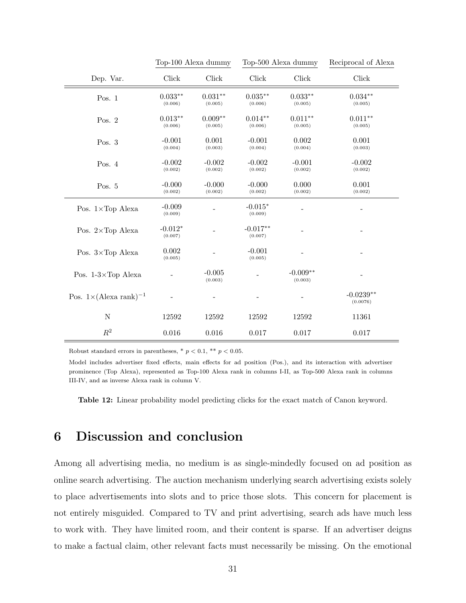<span id="page-32-0"></span>

|                                          |                      | Top-100 Alexa dummy  |                       | Top-500 Alexa dummy   | Reciprocal of Alexa     |
|------------------------------------------|----------------------|----------------------|-----------------------|-----------------------|-------------------------|
| Dep. Var.                                | <b>Click</b>         | Click                | Click                 | <b>Click</b>          | Click                   |
| Pos. $1$                                 | $0.033**$<br>(0.006) | $0.031**$<br>(0.005) | $0.035***$<br>(0.006) | $0.033**$<br>(0.005)  | $0.034**$<br>(0.005)    |
| Pos. $2$                                 | $0.013**$<br>(0.006) | $0.009**$<br>(0.005) | $0.014**$<br>(0.006)  | $0.011**$<br>(0.005)  | $0.011**$<br>(0.005)    |
| Pos. $3$                                 | $-0.001$<br>(0.004)  | 0.001<br>(0.003)     | $-0.001$<br>(0.004)   | 0.002<br>(0.004)      | 0.001<br>(0.003)        |
| Pos. $4$                                 | $-0.002$<br>(0.002)  | $-0.002$<br>(0.002)  | $-0.002$<br>(0.002)   | $-0.001$<br>(0.002)   | $-0.002$<br>(0.002)     |
| Pos. 5                                   | $-0.000$<br>(0.002)  | $-0.000$<br>(0.002)  | $-0.000$<br>(0.002)   | 0.000<br>(0.002)      | 0.001<br>(0.002)        |
| Pos. $1 \times Top$ Alexa                | $-0.009$<br>(0.009)  |                      | $-0.015*$<br>(0.009)  |                       |                         |
| Pos. $2 \times Top$ Alexa                | $-0.012*$<br>(0.007) |                      | $-0.017**$<br>(0.007) |                       |                         |
| Pos. $3 \times Top$ Alexa                | 0.002<br>(0.005)     |                      | $-0.001$<br>(0.005)   |                       |                         |
| Pos. $1-3\times$ Top Alexa               |                      | $-0.005$<br>(0.003)  |                       | $-0.009**$<br>(0.003) |                         |
| Pos. $1 \times (\text{Alexa rank})^{-1}$ |                      |                      |                       |                       | $-0.0239**$<br>(0.0076) |
| N                                        | 12592                | 12592                | 12592                 | 12592                 | 11361                   |
| $\mathbb{R}^2$                           | 0.016                | 0.016                | 0.017                 | 0.017                 | 0.017                   |

Robust standard errors in parentheses,  $*$   $p$  < 0.1,  $**$   $p$  < 0.05.

Model includes advertiser fixed effects, main effects for ad position (Pos.), and its interaction with advertiser prominence (Top Alexa), represented as Top-100 Alexa rank in columns I-II, as Top-500 Alexa rank in columns III-IV, and as inverse Alexa rank in column V.

Table 12: Linear probability model predicting clicks for the exact match of Canon keyword.

# 6 Discussion and conclusion

Among all advertising media, no medium is as single-mindedly focused on ad position as online search advertising. The auction mechanism underlying search advertising exists solely to place advertisements into slots and to price those slots. This concern for placement is not entirely misguided. Compared to TV and print advertising, search ads have much less to work with. They have limited room, and their content is sparse. If an advertiser deigns to make a factual claim, other relevant facts must necessarily be missing. On the emotional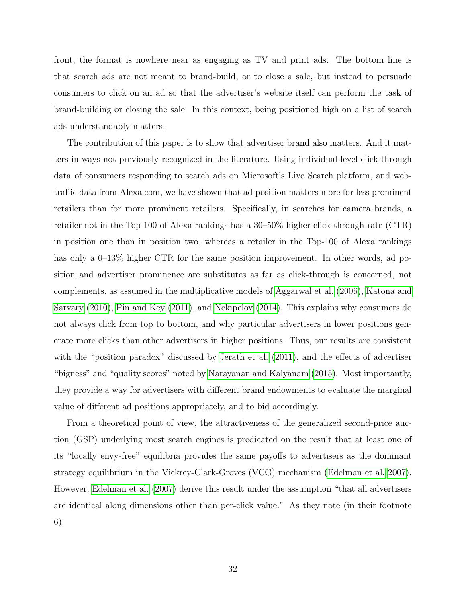front, the format is nowhere near as engaging as TV and print ads. The bottom line is that search ads are not meant to brand-build, or to close a sale, but instead to persuade consumers to click on an ad so that the advertiser's website itself can perform the task of brand-building or closing the sale. In this context, being positioned high on a list of search ads understandably matters.

The contribution of this paper is to show that advertiser brand also matters. And it matters in ways not previously recognized in the literature. Using individual-level click-through data of consumers responding to search ads on Microsoft's Live Search platform, and webtraffic data from Alexa.com, we have shown that ad position matters more for less prominent retailers than for more prominent retailers. Specifically, in searches for camera brands, a retailer not in the Top-100 of Alexa rankings has a 30–50% higher click-through-rate (CTR) in position one than in position two, whereas a retailer in the Top-100 of Alexa rankings has only a 0–13% higher CTR for the same position improvement. In other words, ad position and advertiser prominence are substitutes as far as click-through is concerned, not complements, as assumed in the multiplicative models of [Aggarwal et al.](#page-36-0) [\(2006\)](#page-36-0), [Katona and](#page-38-1) [Sarvary](#page-38-1) [\(2010\)](#page-38-1), [Pin and Key](#page-38-2) [\(2011\)](#page-38-2), and [Nekipelov](#page-38-3) [\(2014\)](#page-38-3). This explains why consumers do not always click from top to bottom, and why particular advertisers in lower positions generate more clicks than other advertisers in higher positions. Thus, our results are consistent with the "position paradox" discussed by [Jerath et al.](#page-38-6) [\(2011\)](#page-38-6), and the effects of advertiser "bigness" and "quality scores" noted by [Narayanan and Kalyanam](#page-38-0) [\(2015\)](#page-38-0). Most importantly, they provide a way for advertisers with different brand endowments to evaluate the marginal value of different ad positions appropriately, and to bid accordingly.

From a theoretical point of view, the attractiveness of the generalized second-price auction (GSP) underlying most search engines is predicated on the result that at least one of its "locally envy-free" equilibria provides the same payoffs to advertisers as the dominant strategy equilibrium in the Vickrey-Clark-Groves (VCG) mechanism [\(Edelman et al. 2007\)](#page-37-0). However, [Edelman et al.](#page-37-0) [\(2007\)](#page-37-0) derive this result under the assumption "that all advertisers are identical along dimensions other than per-click value." As they note (in their footnote 6):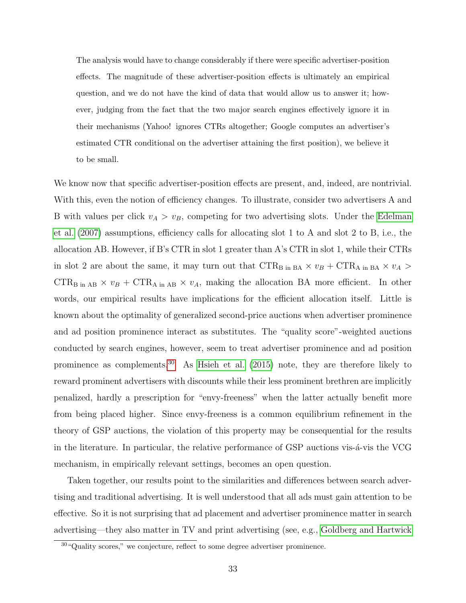The analysis would have to change considerably if there were specific advertiser-position effects. The magnitude of these advertiser-position effects is ultimately an empirical question, and we do not have the kind of data that would allow us to answer it; however, judging from the fact that the two major search engines effectively ignore it in their mechanisms (Yahoo! ignores CTRs altogether; Google computes an advertiser's estimated CTR conditional on the advertiser attaining the first position), we believe it to be small.

We know now that specific advertiser-position effects are present, and, indeed, are nontrivial. With this, even the notion of efficiency changes. To illustrate, consider two advertisers A and B with values per click  $v_A > v_B$ , competing for two advertising slots. Under the [Edelman](#page-37-0) [et al.](#page-37-0) [\(2007\)](#page-37-0) assumptions, efficiency calls for allocating slot 1 to A and slot 2 to B, i.e., the allocation AB. However, if B's CTR in slot 1 greater than A's CTR in slot 1, while their CTRs in slot 2 are about the same, it may turn out that  $CTR_{B in BA} \times v_B + CTR_{A in BA} \times v_A >$  $CTR_{\text{B in AB}} \times v_B + CTR_{\text{A in AB}} \times v_A$ , making the allocation BA more efficient. In other words, our empirical results have implications for the efficient allocation itself. Little is known about the optimality of generalized second-price auctions when advertiser prominence and ad position prominence interact as substitutes. The "quality score"-weighted auctions conducted by search engines, however, seem to treat advertiser prominence and ad position prominence as complements.<sup>[30](#page-34-0)</sup> As [Hsieh et al.](#page-38-9)  $(2015)$  note, they are therefore likely to reward prominent advertisers with discounts while their less prominent brethren are implicitly penalized, hardly a prescription for "envy-freeness" when the latter actually benefit more from being placed higher. Since envy-freeness is a common equilibrium refinement in the theory of GSP auctions, the violation of this property may be consequential for the results in the literature. In particular, the relative performance of GSP auctions vis- $\acute{a}$ -vis the VCG mechanism, in empirically relevant settings, becomes an open question.

Taken together, our results point to the similarities and differences between search advertising and traditional advertising. It is well understood that all ads must gain attention to be effective. So it is not surprising that ad placement and advertiser prominence matter in search advertising—they also matter in TV and print advertising (see, e.g., [Goldberg and Hartwick](#page-37-6)

<span id="page-34-0"></span><sup>&</sup>lt;sup>30</sup> "Quality scores," we conjecture, reflect to some degree advertiser prominence.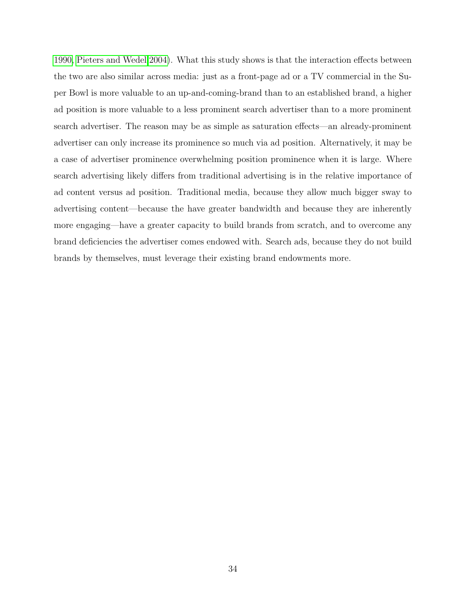[1990,](#page-37-6) [Pieters and Wedel 2004\)](#page-38-10). What this study shows is that the interaction effects between the two are also similar across media: just as a front-page ad or a TV commercial in the Super Bowl is more valuable to an up-and-coming-brand than to an established brand, a higher ad position is more valuable to a less prominent search advertiser than to a more prominent search advertiser. The reason may be as simple as saturation effects—an already-prominent advertiser can only increase its prominence so much via ad position. Alternatively, it may be a case of advertiser prominence overwhelming position prominence when it is large. Where search advertising likely differs from traditional advertising is in the relative importance of ad content versus ad position. Traditional media, because they allow much bigger sway to advertising content—because the have greater bandwidth and because they are inherently more engaging—have a greater capacity to build brands from scratch, and to overcome any brand deficiencies the advertiser comes endowed with. Search ads, because they do not build brands by themselves, must leverage their existing brand endowments more.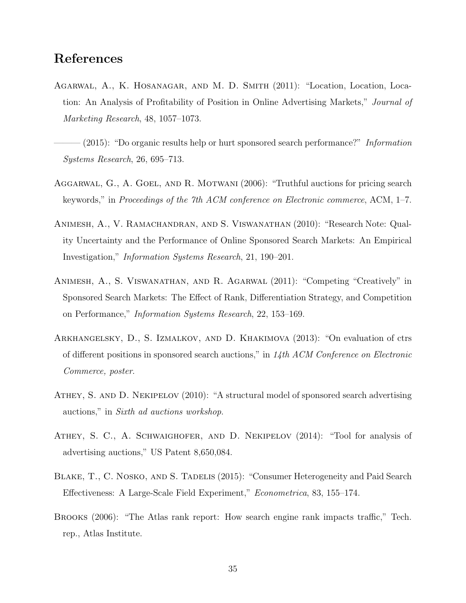# References

- <span id="page-36-6"></span>Agarwal, A., K. Hosanagar, and M. D. Smith (2011): "Location, Location, Location: An Analysis of Profitability of Position in Online Advertising Markets," Journal of Marketing Research, 48, 1057–1073.
- <span id="page-36-7"></span> $(2015)$ : "Do organic results help or hurt sponsored search performance?" Information Systems Research, 26, 695–713.
- <span id="page-36-0"></span>Aggarwal, G., A. Goel, and R. Motwani (2006): "Truthful auctions for pricing search keywords," in Proceedings of the 7th ACM conference on Electronic commerce, ACM, 1–7.
- <span id="page-36-4"></span>Animesh, A., V. Ramachandran, and S. Viswanathan (2010): "Research Note: Quality Uncertainty and the Performance of Online Sponsored Search Markets: An Empirical Investigation," Information Systems Research, 21, 190–201.
- <span id="page-36-2"></span>Animesh, A., S. Viswanathan, and R. Agarwal (2011): "Competing "Creatively" in Sponsored Search Markets: The Effect of Rank, Differentiation Strategy, and Competition on Performance," Information Systems Research, 22, 153–169.
- <span id="page-36-3"></span>Arkhangelsky, D., S. Izmalkov, and D. Khakimova (2013): "On evaluation of ctrs of different positions in sponsored search auctions," in 14th ACM Conference on Electronic Commerce, poster.
- <span id="page-36-9"></span>Athey, S. and D. Nekipelov (2010): "A structural model of sponsored search advertising auctions," in Sixth ad auctions workshop.
- <span id="page-36-8"></span>ATHEY, S. C., A. SCHWAIGHOFER, AND D. NEKIPELOV (2014): "Tool for analysis of advertising auctions," US Patent 8,650,084.
- <span id="page-36-5"></span>BLAKE, T., C. NOSKO, AND S. TADELIS (2015): "Consumer Heterogeneity and Paid Search Effectiveness: A Large-Scale Field Experiment," Econometrica, 83, 155–174.
- <span id="page-36-1"></span>Brooks (2006): "The Atlas rank report: How search engine rank impacts traffic," Tech. rep., Atlas Institute.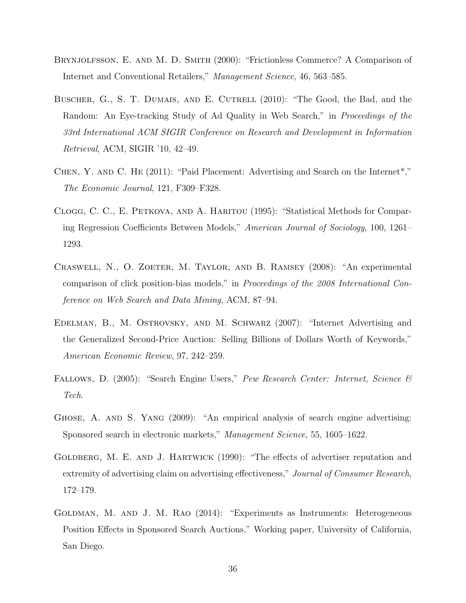- <span id="page-37-7"></span>Brynjolfsson, E. and M. D. Smith (2000): "Frictionless Commerce? A Comparison of Internet and Conventional Retailers," Management Science, 46, 563–585.
- <span id="page-37-1"></span>BUSCHER, G., S. T. DUMAIS, AND E. CUTRELL (2010): "The Good, the Bad, and the Random: An Eye-tracking Study of Ad Quality in Web Search," in Proceedings of the 33rd International ACM SIGIR Conference on Research and Development in Information Retrieval, ACM, SIGIR '10, 42–49.
- <span id="page-37-2"></span>Chen, Y. and C. He (2011): "Paid Placement: Advertising and Search on the Internet\*," The Economic Journal, 121, F309–F328.
- <span id="page-37-9"></span>Clogg, C. C., E. Petkova, and A. Haritou (1995): "Statistical Methods for Comparing Regression Coefficients Between Models," American Journal of Sociology, 100, 1261– 1293.
- <span id="page-37-5"></span>CRASWELL, N., O. ZOETER, M. TAYLOR, AND B. RAMSEY (2008): "An experimental comparison of click position-bias models," in Proceedings of the 2008 International Conference on Web Search and Data Mining, ACM, 87–94.
- <span id="page-37-0"></span>Edelman, B., M. Ostrovsky, and M. Schwarz (2007): "Internet Advertising and the Generalized Second-Price Auction: Selling Billions of Dollars Worth of Keywords," American Economic Review, 97, 242–259.
- <span id="page-37-8"></span>FALLOWS, D. (2005): "Search Engine Users," Pew Research Center: Internet, Science & Tech.
- <span id="page-37-4"></span>Ghose, A. and S. Yang (2009): "An empirical analysis of search engine advertising: Sponsored search in electronic markets," Management Science, 55, 1605–1622.
- <span id="page-37-6"></span>GOLDBERG, M. E. AND J. HARTWICK (1990): "The effects of advertiser reputation and extremity of advertising claim on advertising effectiveness," Journal of Consumer Research, 172–179.
- <span id="page-37-3"></span>GOLDMAN, M. AND J. M. RAO (2014): "Experiments as Instruments: Heterogeneous Position Effects in Sponsored Search Auctions," Working paper, University of California, San Diego.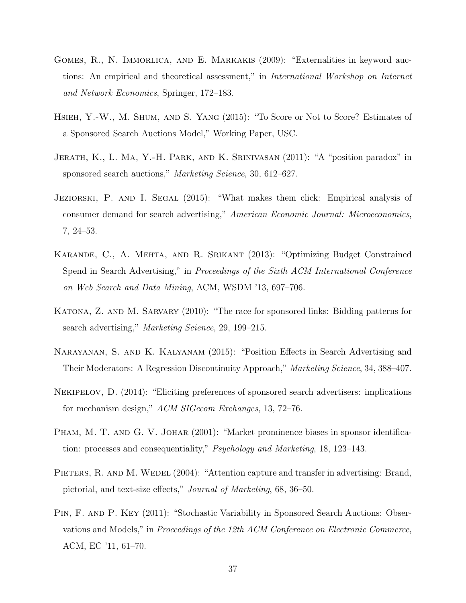- <span id="page-38-5"></span>GOMES, R., N. IMMORLICA, AND E. MARKAKIS (2009): "Externalities in keyword auctions: An empirical and theoretical assessment," in International Workshop on Internet and Network Economics, Springer, 172–183.
- <span id="page-38-9"></span>Hsieh, Y.-W., M. Shum, and S. Yang (2015): "To Score or Not to Score? Estimates of a Sponsored Search Auctions Model," Working Paper, USC.
- <span id="page-38-6"></span>Jerath, K., L. Ma, Y.-H. Park, and K. Srinivasan (2011): "A "position paradox" in sponsored search auctions," Marketing Science, 30, 612–627.
- <span id="page-38-4"></span>JEZIORSKI, P. AND I. SEGAL (2015): "What makes them click: Empirical analysis of consumer demand for search advertising," American Economic Journal: Microeconomics, 7, 24–53.
- <span id="page-38-8"></span>Karande, C., A. Mehta, and R. Srikant (2013): "Optimizing Budget Constrained Spend in Search Advertising," in Proceedings of the Sixth ACM International Conference on Web Search and Data Mining, ACM, WSDM '13, 697–706.
- <span id="page-38-1"></span>KATONA, Z. AND M. SARVARY (2010): "The race for sponsored links: Bidding patterns for search advertising," Marketing Science, 29, 199–215.
- <span id="page-38-0"></span>Narayanan, S. and K. Kalyanam (2015): "Position Effects in Search Advertising and Their Moderators: A Regression Discontinuity Approach," Marketing Science, 34, 388–407.
- <span id="page-38-3"></span>Nekipelov, D. (2014): "Eliciting preferences of sponsored search advertisers: implications for mechanism design," ACM SIGecom Exchanges, 13, 72–76.
- <span id="page-38-7"></span>PHAM, M. T. AND G. V. JOHAR (2001): "Market prominence biases in sponsor identification: processes and consequentiality," Psychology and Marketing, 18, 123–143.
- <span id="page-38-10"></span>PIETERS, R. AND M. WEDEL (2004): "Attention capture and transfer in advertising: Brand, pictorial, and text-size effects," Journal of Marketing, 68, 36–50.
- <span id="page-38-2"></span>Pin, F. and P. Key (2011): "Stochastic Variability in Sponsored Search Auctions: Observations and Models," in Proceedings of the 12th ACM Conference on Electronic Commerce, ACM, EC '11, 61–70.